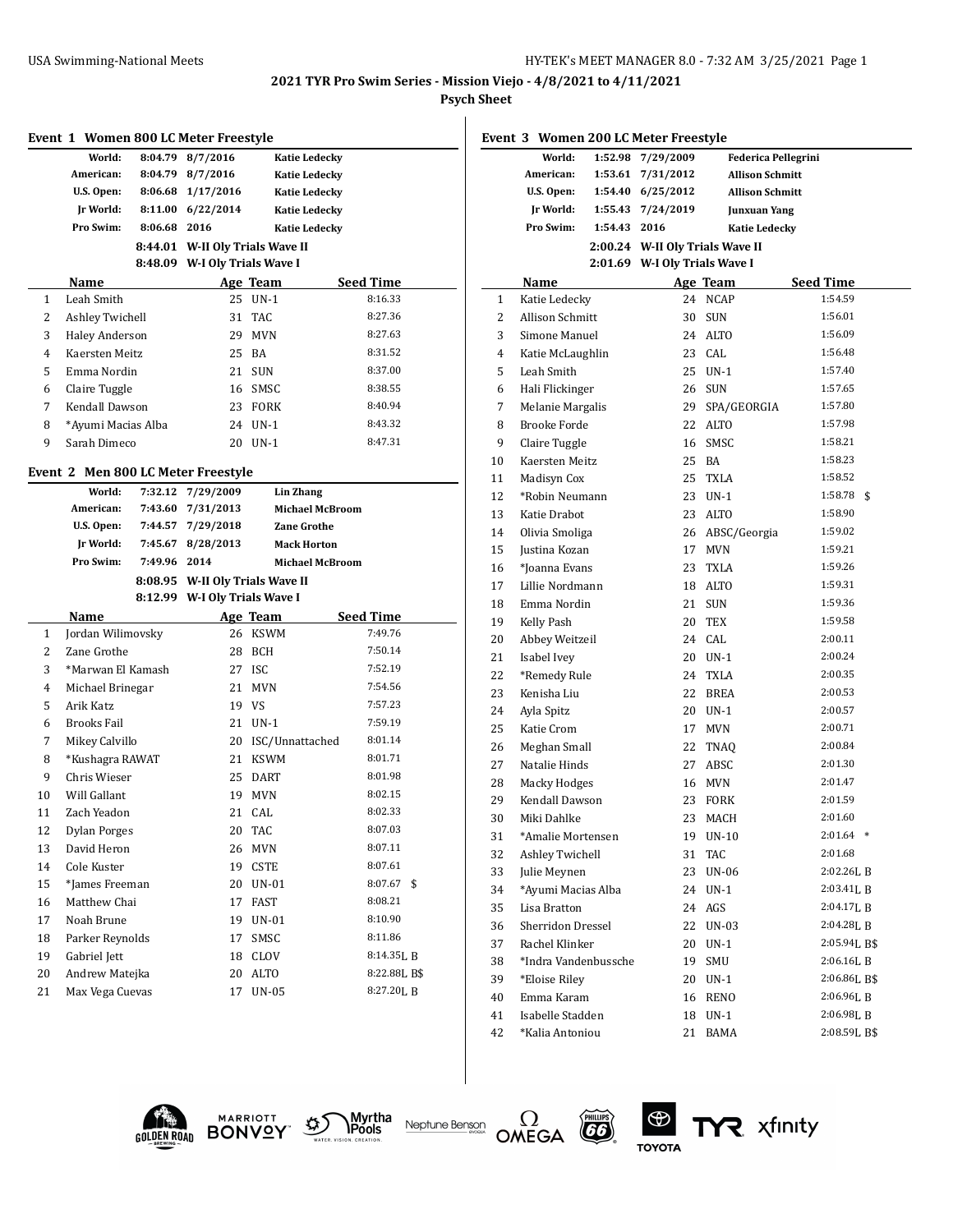**Psych Sheet**

|              | Event 1 Women 800 LC Meter Freestyle         |              |                                 |                        |                           |
|--------------|----------------------------------------------|--------------|---------------------------------|------------------------|---------------------------|
|              | World:                                       |              | 8:04.79 8/7/2016                | <b>Katie Ledecky</b>   |                           |
|              | American:                                    |              | 8:04.79 8/7/2016                | <b>Katie Ledecky</b>   |                           |
|              | U.S. Open:                                   |              | 8:06.68 1/17/2016               | <b>Katie Ledecky</b>   |                           |
|              | Jr World:                                    |              | 8:11.00 6/22/2014               | <b>Katie Ledecky</b>   |                           |
|              | Pro Swim:                                    | 8:06.68 2016 |                                 | <b>Katie Ledecky</b>   |                           |
|              |                                              |              | 8:44.01 W-II Oly Trials Wave II |                        |                           |
|              |                                              |              | 8:48.09 W-I Oly Trials Wave I   |                        |                           |
|              | Name                                         |              |                                 | Age Team               | <b>Seed Time</b>          |
| 1            | Leah Smith                                   |              |                                 | 25 UN-1                | 8:16.33                   |
| 2            | Ashley Twichell                              |              | 31                              | TAC                    | 8:27.36                   |
| 3            | <b>Haley Anderson</b>                        |              |                                 | 29 MVN                 | 8:27.63                   |
| 4            | Kaersten Meitz                               |              |                                 | 25 BA                  | 8:31.52                   |
| 5            | Emma Nordin                                  |              |                                 | 21 SUN                 | 8:37.00                   |
| 6            | Claire Tuggle                                |              |                                 | 16 SMSC                | 8:38.55                   |
| 7            | Kendall Dawson                               |              |                                 | 23 FORK                | 8:40.94                   |
| 8            | *Ayumi Macias Alba                           |              |                                 | 24 UN-1                | 8:43.32                   |
| 9            | Sarah Dimeco                                 |              |                                 | 20 UN-1                | 8:47.31                   |
|              |                                              |              |                                 |                        |                           |
|              | Event 2 Men 800 LC Meter Freestyle<br>World: |              |                                 |                        |                           |
|              |                                              | 7:32.12      | 7/29/2009                       | <b>Lin Zhang</b>       |                           |
|              | American:<br>U.S. Open:                      |              | 7:43.60 7/31/2013               | <b>Michael McBroom</b> |                           |
|              |                                              |              | 7:44.57 7/29/2018               | <b>Zane Grothe</b>     |                           |
|              | Jr World:<br>Pro Swim:                       |              | 7:45.67 8/28/2013               | <b>Mack Horton</b>     |                           |
|              |                                              | 7:49.96 2014 |                                 | <b>Michael McBroom</b> |                           |
|              |                                              |              |                                 |                        |                           |
|              |                                              |              | 8:08.95 W-II Oly Trials Wave II |                        |                           |
|              |                                              |              | 8:12.99 W-I Oly Trials Wave I   |                        |                           |
|              | Name                                         |              |                                 | Age Team               | Seed Time                 |
| $\mathbf{1}$ | Jordan Wilimovsky                            |              |                                 | 26 KSWM                | 7:49.76                   |
| 2            | Zane Grothe                                  |              |                                 | 28 BCH                 | 7:50.14                   |
| 3            | *Marwan El Kamash                            |              |                                 | 27 ISC                 | 7:52.19                   |
| 4            | Michael Brinegar                             |              |                                 | 21 MVN                 | 7:54.56                   |
| 5            | Arik Katz                                    |              |                                 | 19 VS                  | 7:57.23                   |
| 6            | Brooks Fail                                  |              |                                 | 21 UN-1                | 7:59.19                   |
| 7            | Mikey Calvillo                               |              |                                 | 20 ISC/Unnattached     | 8:01.14                   |
| 8            | *Kushagra RAWAT                              |              |                                 | 21 KSWM                | 8:01.71                   |
| 9            | Chris Wieser                                 |              |                                 | 25 DART                | 8:01.98<br>8:02.15        |
| 10           | Will Gallant                                 |              |                                 | 19 MVN                 | 8:02.33                   |
| 11           | Zach Yeadon                                  |              |                                 | 21 CAL                 |                           |
| 12           | <b>Dylan Porges</b>                          |              |                                 | 20 TAC                 | 8:07.03                   |
| 13           | David Heron                                  |              | 26                              | <b>MVN</b>             | 8:07.11                   |
| 14           | Cole Kuster                                  |              | 19                              | <b>CSTE</b>            | 8:07.61                   |
| 15           | *James Freeman                               |              |                                 | 20 UN-01               | $8:07.67$ \$              |
| 16           | Matthew Chai                                 |              | 17                              | FAST                   | 8:08.21                   |
| 17           | Noah Brune                                   |              | 19                              | $UN-01$                | 8:10.90                   |
| 18           | Parker Reynolds                              |              | 17                              | SMSC                   | 8:11.86                   |
| 19           | Gabriel Jett                                 |              | 18                              | CLOV                   | 8:14.35LB                 |
| 20<br>21     | Andrew Matejka<br>Max Vega Cuevas            |              | 20<br>17                        | ALTO<br><b>UN-05</b>   | 8:22.88L B\$<br>8:27.20LB |

|    | Event 3 Women 200 LC Meter Freestyle |              |                                 |                            |                  |  |  |
|----|--------------------------------------|--------------|---------------------------------|----------------------------|------------------|--|--|
|    | World:                               | 1:52.98      | 7/29/2009                       | <b>Federica Pellegrini</b> |                  |  |  |
|    | American:                            | 1:53.61      | 7/31/2012                       | <b>Allison Schmitt</b>     |                  |  |  |
|    | U.S. Open:                           |              | 1:54.40 6/25/2012               | <b>Allison Schmitt</b>     |                  |  |  |
|    | Jr World:                            |              | 1:55.43 7/24/2019               | <b>Junxuan Yang</b>        |                  |  |  |
|    | Pro Swim:                            | 1:54.43 2016 |                                 | <b>Katie Ledecky</b>       |                  |  |  |
|    |                                      |              | 2:00.24 W-II Oly Trials Wave II |                            |                  |  |  |
|    |                                      |              | 2:01.69 W-I Oly Trials Wave I   |                            |                  |  |  |
|    | Name                                 |              |                                 | Age Team                   | <b>Seed Time</b> |  |  |
| 1  | Katie Ledecky                        |              |                                 | 24 NCAP                    | 1:54.59          |  |  |
| 2  | Allison Schmitt                      |              |                                 | 30 SUN                     | 1:56.01          |  |  |
| 3  | Simone Manuel                        |              |                                 | 24 ALTO                    | 1:56.09          |  |  |
| 4  | Katie McLaughlin                     |              |                                 | 23 CAL                     | 1:56.48          |  |  |
| 5  | Leah Smith                           |              |                                 | 25 UN-1                    | 1:57.40          |  |  |
| 6  | Hali Flickinger                      |              |                                 | 26 SUN                     | 1:57.65          |  |  |
| 7  | Melanie Margalis                     |              | 29                              | SPA/GEORGIA                | 1:57.80          |  |  |
| 8  | <b>Brooke Forde</b>                  |              |                                 | 22 ALTO                    | 1:57.98          |  |  |
| 9  | Claire Tuggle                        |              |                                 | 16 SMSC                    | 1:58.21          |  |  |
| 10 | Kaersten Meitz                       |              |                                 | 25 BA                      | 1:58.23          |  |  |
| 11 | Madisyn Cox                          |              |                                 | 25 TXLA                    | 1:58.52          |  |  |
| 12 | *Robin Neumann                       |              |                                 | 23 UN-1                    | $1:58.78$ \$     |  |  |
| 13 | Katie Drabot                         |              |                                 | 23 ALTO                    | 1:58.90          |  |  |
| 14 | Olivia Smoliga                       |              |                                 | 26 ABSC/Georgia            | 1:59.02          |  |  |
| 15 | Justina Kozan                        |              |                                 | 17 MVN                     | 1:59.21          |  |  |
| 16 | *Ioanna Evans                        |              |                                 | 23 TXLA                    | 1:59.26          |  |  |
| 17 | Lillie Nordmann                      |              |                                 | 18 ALTO                    | 1:59.31          |  |  |
| 18 | Emma Nordin                          |              |                                 | 21 SUN                     | 1:59.36          |  |  |
| 19 | Kelly Pash                           |              | 20                              | TEX                        | 1:59.58          |  |  |
| 20 | Abbey Weitzeil                       |              |                                 | 24 CAL                     | 2:00.11          |  |  |
| 21 | Isabel Ivey                          |              |                                 | 20 UN-1                    | 2:00.24          |  |  |
| 22 | *Remedy Rule                         |              |                                 | 24 TXLA                    | 2:00.35          |  |  |
| 23 | Kenisha Liu                          |              |                                 | 22 BREA                    | 2:00.53          |  |  |
| 24 | Ayla Spitz                           |              |                                 | 20 UN-1                    | 2:00.57          |  |  |
| 25 | Katie Crom                           |              |                                 | 17 MVN                     | 2:00.71          |  |  |
| 26 | Meghan Small                         |              |                                 | 22 TNAQ                    | 2:00.84          |  |  |
| 27 | Natalie Hinds                        |              |                                 | 27 ABSC                    | 2:01.30          |  |  |
| 28 | <b>Macky Hodges</b>                  |              |                                 | 16 MVN                     | 2:01.47          |  |  |
| 29 | Kendall Dawson                       |              | 23                              | FORK                       | 2:01.59          |  |  |
| 30 | Miki Dahlke                          |              | 23                              | MACH                       | 2:01.60          |  |  |
| 31 | *Amalie Mortensen                    |              | 19                              | $UN-10$                    | $2:01.64$ *      |  |  |
| 32 | Ashley Twichell                      |              | 31                              | TAC                        | 2:01.68          |  |  |
| 33 | Julie Meynen                         |              | 23                              | <b>UN-06</b>               | 2:02.26LB        |  |  |
| 34 | *Ayumi Macias Alba                   |              | 24                              | $UN-1$                     | 2:03.41L B       |  |  |
| 35 | Lisa Bratton                         |              | 24                              | AGS                        | 2:04.17LB        |  |  |
| 36 | Sherridon Dressel                    |              | 22                              | UN-03                      | 2:04.28L B       |  |  |
| 37 | Rachel Klinker                       |              | 20                              | $UN-1$                     | 2:05.94L B\$     |  |  |
| 38 | *Indra Vandenbussche                 |              | 19                              | SMU                        | 2:06.16L B       |  |  |
| 39 | *Eloise Riley                        |              | 20                              | $UN-1$                     | 2:06.86LB\$      |  |  |
| 40 | Emma Karam                           |              | 16                              | RENO                       | 2:06.96LB        |  |  |
| 41 | Isabelle Stadden                     |              | 18                              | $UN-1$                     | 2:06.98L B       |  |  |
| 42 | *Kalia Antoniou                      |              | 21                              | BAMA                       | 2:08.59L B\$     |  |  |





Neptune Benson



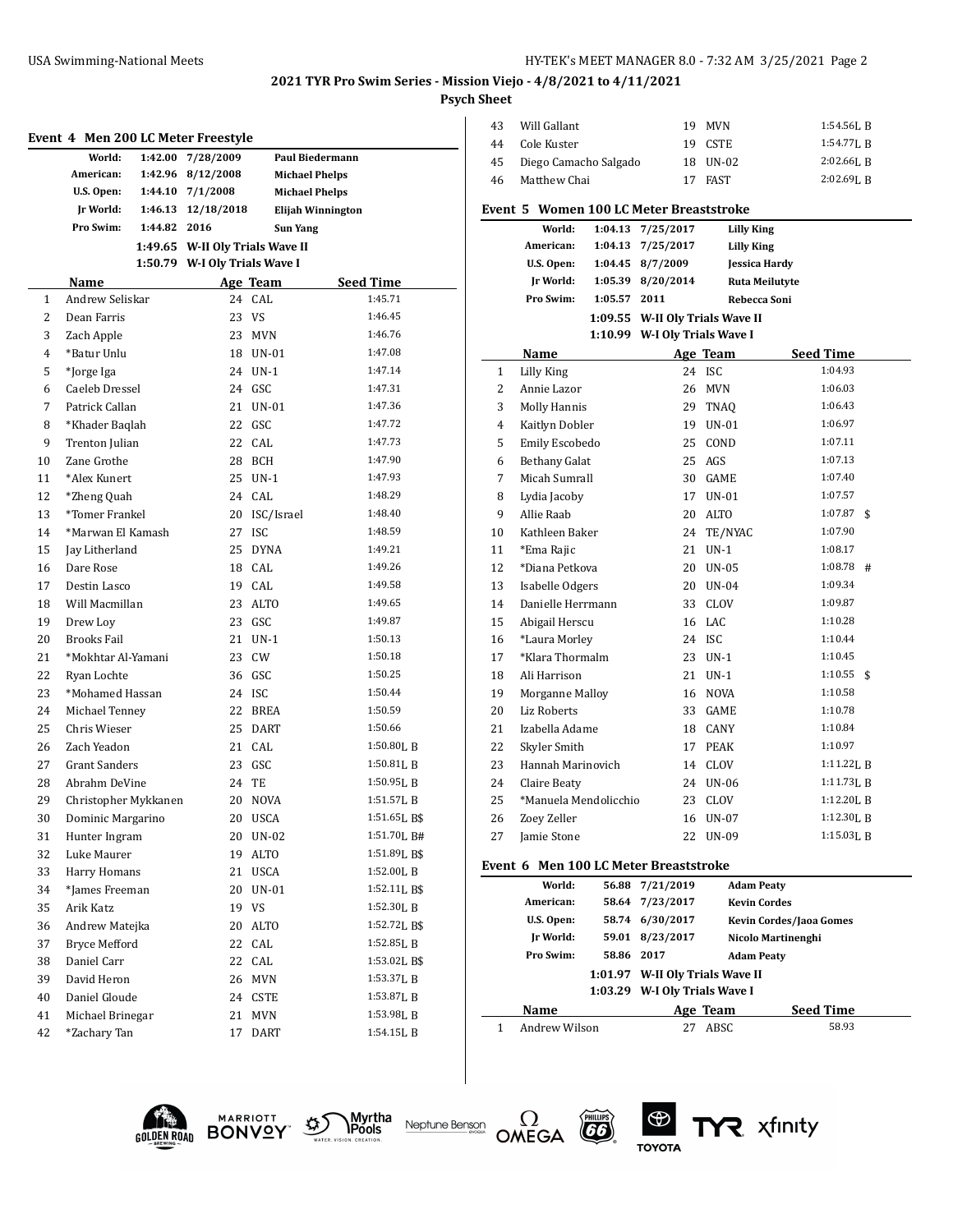$\overline{a}$ 

**Psych Sheet**

|              | <b>Event 4 Men 200 LC Meter Freestyle</b> |              |                                 |                       |                          |  |
|--------------|-------------------------------------------|--------------|---------------------------------|-----------------------|--------------------------|--|
|              | World:                                    | 1:42.00      | 7/28/2009                       |                       | Paul Biedermann          |  |
|              | American:                                 | 1:42.96      | 8/12/2008                       | <b>Michael Phelps</b> |                          |  |
|              | U.S. Open:                                |              | $1:44.10$ $7/1/2008$            | <b>Michael Phelps</b> |                          |  |
|              | Ir World:                                 |              | 1:46.13 12/18/2018              |                       | <b>Elijah Winnington</b> |  |
|              | Pro Swim:                                 | 1:44.82 2016 |                                 | Sun Yang              |                          |  |
|              |                                           |              | 1:49.65 W-II Oly Trials Wave II |                       |                          |  |
|              |                                           |              | 1:50.79 W-I Oly Trials Wave I   |                       |                          |  |
|              | Name                                      |              |                                 | Age Team              | Seed Time                |  |
| $\mathbf{1}$ | Andrew Seliskar                           |              |                                 | 24 CAL                | 1:45.71                  |  |
| 2            | Dean Farris                               |              | 23                              | VS                    | 1:46.45                  |  |
| 3            | Zach Apple                                |              |                                 | 23 MVN                | 1:46.76                  |  |
| 4            | *Batur Unlu                               |              |                                 | 18 UN-01              | 1:47.08                  |  |
| 5            | *Jorge Iga                                |              |                                 | 24 UN-1               | 1:47.14                  |  |
| 6            | Caeleb Dressel                            |              |                                 | 24 GSC                | 1:47.31                  |  |
| 7            | Patrick Callan                            |              | 21                              | $UN-01$               | 1:47.36                  |  |
| 8            | *Khader Baqlah                            |              |                                 | 22 GSC                | 1:47.72                  |  |
| 9            | Trenton Julian                            |              | 22                              | CAL                   | 1:47.73                  |  |
| 10           | Zane Grothe                               |              |                                 | 28 BCH                | 1:47.90                  |  |
| 11           | *Alex Kunert                              |              |                                 | 25 UN-1               | 1:47.93                  |  |
| 12           | *Zheng Quah                               |              |                                 | 24 CAL                | 1:48.29                  |  |
| 13           | *Tomer Frankel                            |              |                                 | 20 ISC/Israel         | 1:48.40                  |  |
| 14           | *Marwan El Kamash                         |              |                                 | 27 ISC                | 1:48.59                  |  |
| 15           | Jay Litherland                            |              |                                 | 25 DYNA               | 1:49.21                  |  |
| 16           | Dare Rose                                 |              |                                 | 18 CAL                | 1:49.26                  |  |
| 17           | Destin Lasco                              |              |                                 | 19 CAL                | 1:49.58                  |  |
| 18           | Will Macmillan                            |              |                                 | 23 ALTO               | 1:49.65                  |  |
| 19           | Drew Loy                                  |              |                                 | 23 GSC                | 1:49.87                  |  |
| 20           | <b>Brooks Fail</b>                        |              | 21                              | $UN-1$                | 1:50.13                  |  |
| 21           | *Mokhtar Al-Yamani                        |              | 23                              | CW                    | 1:50.18                  |  |
| 22           | Ryan Lochte                               |              |                                 | 36 GSC                | 1:50.25                  |  |
| 23           | *Mohamed Hassan                           |              |                                 | 24 ISC                | 1:50.44                  |  |
| 24           | Michael Tenney                            |              |                                 | 22 BREA               | 1:50.59                  |  |
| 25           | Chris Wieser                              |              |                                 | 25 DART               | 1:50.66                  |  |
| 26           | Zach Yeadon                               |              |                                 | 21 CAL                | 1:50.80LB                |  |
| 27           | <b>Grant Sanders</b>                      |              |                                 | 23 GSC                | 1:50.81LB                |  |
| 28           | Abrahm DeVine                             |              |                                 | 24 TE                 | 1:50.95LB                |  |
| 29           | Christopher Mykkanen                      |              |                                 | 20 NOVA               | 1:51.57LB                |  |
| 30           | Dominic Margarino                         |              |                                 | 20 USCA               | 1:51.65L B\$             |  |
| 31           | Hunter Ingram                             |              | 20                              | UN-02                 | 1:51.70L B#              |  |
| 32           | Luke Maurer                               |              | 19                              | ALTO                  | 1:51.89LB\$              |  |
| 33           | Harry Homans                              |              | 21                              | USCA                  | 1:52.00LB                |  |
| 34           | *James Freeman                            |              | 20                              | <b>UN-01</b>          | 1:52.11L B\$             |  |
| 35           | Arik Katz                                 |              | 19                              | VS                    | 1:52.30LB                |  |
| 36           | Andrew Matejka                            |              | 20                              | ALTO                  | 1:52.72LB\$              |  |
| 37           | <b>Bryce Mefford</b>                      |              | 22                              | CAL                   | 1:52.85L B               |  |
| 38           | Daniel Carr                               |              | 22                              | CAL                   | 1:53.02LB\$              |  |
| 39           | David Heron                               |              | 26                              | MVN                   | 1:53.37L B               |  |
| 40           | Daniel Gloude                             |              | 24                              | CSTE                  | 1:53.87L B               |  |
| 41           | Michael Brinegar                          |              | 21                              | MVN                   | 1:53.98L B               |  |
| 42           | *Zachary Tan                              |              | 17                              | DART                  | 1:54.15L B               |  |

| 43 | Will Gallant             | 19 MVN   | $1:54.56$ L R |
|----|--------------------------|----------|---------------|
|    | 44 Cole Kuster           | 19 CSTE  | $1:54.77$ L R |
|    | 45 Diego Camacho Salgado | 18 UN-02 | $2:02.66$ , B |
|    | 46 Matthew Chai          | 17 FAST  | $2:02.69$ LR  |
|    |                          |          |               |

### **Event 5 Women 100 LC Meter Breaststroke**

|              | World:                                |              | 1:04.13 7/25/2017               | <b>Lilly King</b>     |                                |
|--------------|---------------------------------------|--------------|---------------------------------|-----------------------|--------------------------------|
|              | American:                             |              | 1:04.13 7/25/2017               | <b>Lilly King</b>     |                                |
|              | U.S. Open:                            |              | 1:04.45 8/7/2009                | Jessica Hardy         |                                |
|              | Jr World:                             |              | 1:05.39 8/20/2014               | <b>Ruta Meilutyte</b> |                                |
|              | Pro Swim:                             | 1:05.57 2011 |                                 | Rebecca Soni          |                                |
|              |                                       |              | 1:09.55 W-II Oly Trials Wave II |                       |                                |
|              |                                       |              | 1:10.99 W-I Oly Trials Wave I   |                       |                                |
|              | Name                                  |              |                                 | Age Team              | <b>Seed Time</b>               |
| $\mathbf{1}$ | Lilly King                            |              |                                 | 24 ISC                | 1:04.93                        |
| 2            | Annie Lazor                           |              | 26                              | <b>MVN</b>            | 1:06.03                        |
| 3            | Molly Hannis                          |              | 29                              | TNAQ                  | 1:06.43                        |
| 4            | Kaitlyn Dobler                        |              | 19                              | UN-01                 | 1:06.97                        |
| 5            | Emily Escobedo                        |              | 25                              | COND                  | 1:07.11                        |
| 6            | <b>Bethany Galat</b>                  |              | 25                              | AGS                   | 1:07.13                        |
| 7            | Micah Sumrall                         |              | 30                              | GAME                  | 1:07.40                        |
| 8            | Lydia Jacoby                          |              | 17                              | UN-01                 | 1:07.57                        |
| 9            | Allie Raab                            |              | 20                              | ALTO                  | $1:07.87$ \$                   |
| 10           | Kathleen Baker                        |              | 24                              | TE/NYAC               | 1:07.90                        |
| 11           | *Ema Rajic                            |              | 21                              | $UN-1$                | 1:08.17                        |
| 12           | *Diana Petkova                        |              | 20                              | UN-05                 | $1:08.78$ #                    |
| 13           | Isabelle Odgers                       |              | 20                              | UN-04                 | 1:09.34                        |
| 14           | Danielle Herrmann                     |              | 33                              | CLOV                  | 1:09.87                        |
| 15           | Abigail Herscu                        |              |                                 | 16 LAC                | 1:10.28                        |
| 16           | *Laura Morley                         |              | 24                              | -ISC                  | 1:10.44                        |
| 17           | *Klara Thormalm                       |              | 23                              | $UN-1$                | 1:10.45                        |
| 18           | Ali Harrison                          |              | 21                              | $UN-1$                | 1:10.55<br>\$                  |
| 19           | Morganne Malloy                       |              | 16                              | NOVA                  | 1:10.58                        |
| 20           | Liz Roberts                           |              | 33                              | GAME                  | 1:10.78                        |
| 21           | Izabella Adame                        |              |                                 | 18 CANY               | 1:10.84                        |
| 22           | Skyler Smith                          |              | 17                              | PEAK                  | 1:10.97                        |
| 23           | Hannah Marinovich                     |              | 14                              | CLOV                  | 1:11.22LB                      |
| 24           | Claire Beaty                          |              | 24                              | UN-06                 | $1:11.73$ , B                  |
| 25           | *Manuela Mendolicchio                 |              | 23                              | CLOV                  | 1:12.20LB                      |
| 26           | Zoey Zeller                           |              | 16                              | <b>UN-07</b>          | 1:12.30LB                      |
| 27           | Jamie Stone                           |              | 22                              | <b>UN-09</b>          | 1:15.03LB                      |
|              | Event 6 Men 100 LC Meter Breaststroke |              |                                 |                       |                                |
|              | World:                                |              | 56.88 7/21/2019                 | <b>Adam Peaty</b>     |                                |
|              | American:                             |              | 58.64 7/23/2017                 | <b>Kevin Cordes</b>   |                                |
|              | U.S. Open:                            |              | 58.74 6/30/2017                 |                       | <b>Kevin Cordes/Jaoa Gomes</b> |
|              | Ir World:                             |              | 59.01 8/23/2017                 | Nicolo Martinenghi    |                                |
|              | Pro Swim:                             | 58.86 2017   |                                 | <b>Adam Peaty</b>     |                                |
|              |                                       |              | 1:01.97 W-II Oly Trials Wave II |                       |                                |
|              |                                       |              | 1:03.29 W-I Oly Trials Wave I   |                       |                                |

**GOLDEN ROAD** 



Myrtha<br>**\Pools** Neptune Benson







**Name Age Team Seed Time** Andrew Wilson 27 ABSC 58.93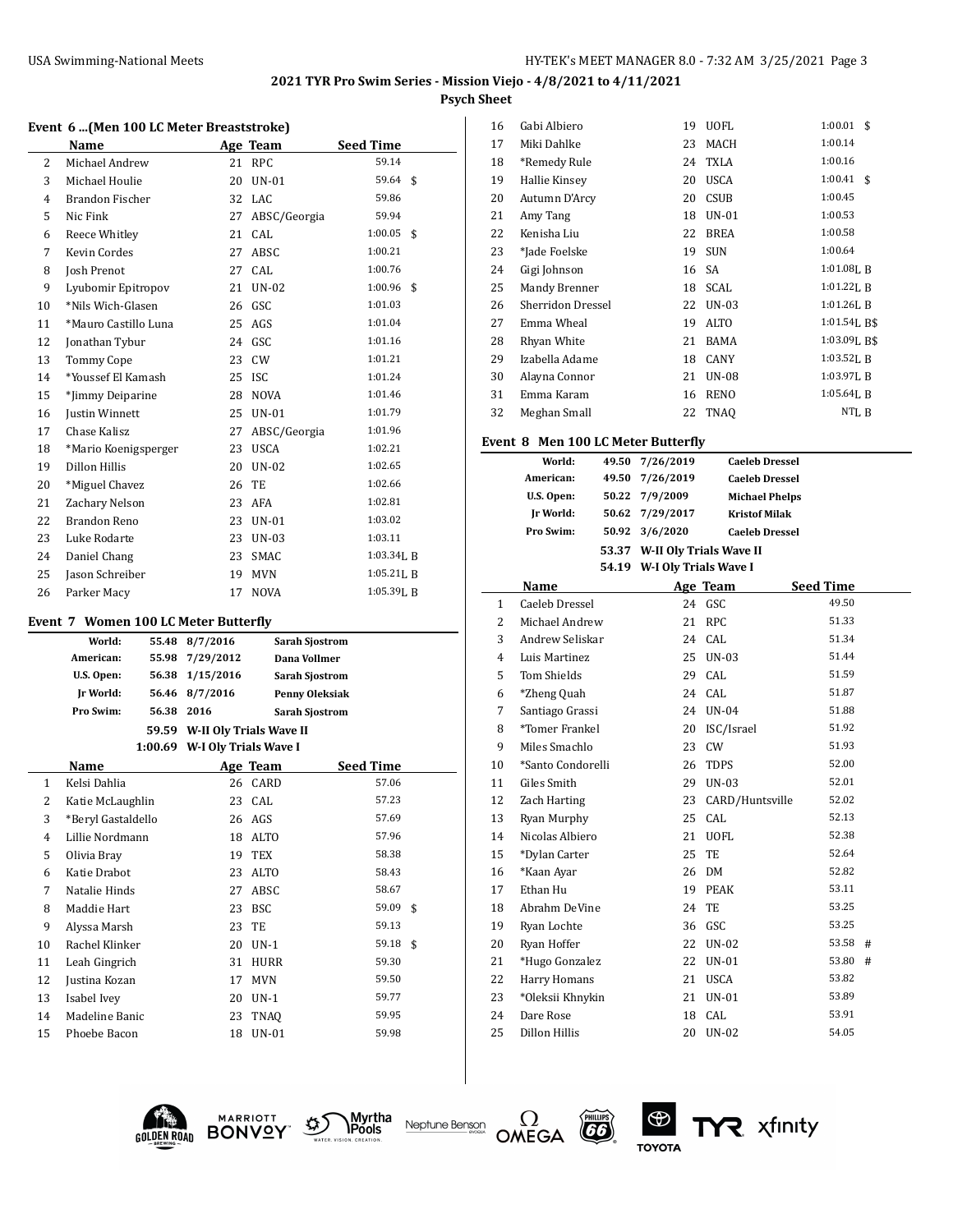$\overline{\phantom{0}}$ 

## **Psych Sheet**

### **Event 6 ...(Men 100 LC Meter Breaststroke)**

|    | Name                 |    | Age Team     | <b>Seed Time</b> |    |
|----|----------------------|----|--------------|------------------|----|
| 2  | Michael Andrew       | 21 | RPC          | 59.14            |    |
| 3  | Michael Houlie       | 20 | $UN-01$      | $59.64$ \$       |    |
| 4  | Brandon Fischer      | 32 | LAC          | 59.86            |    |
| 5  | Nic Fink             | 27 | ABSC/Georgia | 59.94            |    |
| 6  | Reece Whitley        | 21 | CAL          | 1:00.05          | \$ |
| 7  | Kevin Cordes         | 27 | ABSC         | 1:00.21          |    |
| 8  | Josh Prenot          | 27 | CAL          | 1:00.76          |    |
| 9  | Lyubomir Epitropov   | 21 | $UN-02$      | 1:00.96          | \$ |
| 10 | *Nils Wich-Glasen    | 26 | GSC          | 1:01.03          |    |
| 11 | *Mauro Castillo Luna | 25 | AGS          | 1:01.04          |    |
| 12 | Jonathan Tybur       | 24 | GSC          | 1:01.16          |    |
| 13 | <b>Tommy Cope</b>    | 23 | CW           | 1:01.21          |    |
| 14 | *Youssef El Kamash   | 25 | <b>ISC</b>   | 1:01.24          |    |
| 15 | *Jimmy Deiparine     | 28 | <b>NOVA</b>  | 1:01.46          |    |
| 16 | Justin Winnett       | 25 | <b>UN-01</b> | 1:01.79          |    |
| 17 | Chase Kalisz         | 27 | ABSC/Georgia | 1:01.96          |    |
| 18 | *Mario Koenigsperger | 23 | <b>USCA</b>  | 1:02.21          |    |
| 19 | Dillon Hillis        | 20 | $UN-02$      | 1:02.65          |    |
| 20 | *Miguel Chavez       | 26 | TE           | 1:02.66          |    |
| 21 | Zachary Nelson       | 23 | AFA          | 1:02.81          |    |
| 22 | Brandon Reno         | 23 | $UN-01$      | 1:03.02          |    |
| 23 | Luke Rodarte         | 23 | $UN-03$      | 1:03.11          |    |
| 24 | Daniel Chang         | 23 | <b>SMAC</b>  | 1:03.34L B       |    |
| 25 | Jason Schreiber      | 19 | <b>MVN</b>   | $1:05.21$ [, B   |    |
| 26 | Parker Macy          | 17 | <b>NOVA</b>  | 1:05.39J, B      |    |

### **Event 7 Women 100 LC Meter Butterfly**

|                | World:             | 55.48 | 8/7/2016                      |             | <b>Sarah Sjostrom</b> |    |
|----------------|--------------------|-------|-------------------------------|-------------|-----------------------|----|
|                | American:          | 55.98 | 7/29/2012                     |             | Dana Vollmer          |    |
|                | U.S. Open:         | 56.38 | 1/15/2016                     |             | Sarah Sjostrom        |    |
|                | Ir World:          | 56.46 | 8/7/2016                      |             | <b>Penny Oleksiak</b> |    |
|                | Pro Swim:          | 56.38 | 2016                          |             | <b>Sarah Sjostrom</b> |    |
|                |                    |       | 59.59 W-II Oly Trials Wave II |             |                       |    |
|                |                    |       | 1:00.69 W-I Oly Trials Wave I |             |                       |    |
|                | Name               |       |                               | Age Team    | <b>Seed Time</b>      |    |
| $\mathbf{1}$   | Kelsi Dahlia       |       | 26                            | CARD        | 57.06                 |    |
| 2              | Katie McLaughlin   |       | 23                            | CAL         | 57.23                 |    |
| 3              | *Beryl Gastaldello |       | 26                            | AGS         | 57.69                 |    |
| $\overline{4}$ | Lillie Nordmann    |       | 18                            | <b>ALTO</b> | 57.96                 |    |
| 5              | Olivia Bray        |       | 19                            | TEX         | 58.38                 |    |
| 6              | Katie Drabot       |       | 23                            | <b>ALTO</b> | 58.43                 |    |
| 7              | Natalie Hinds      |       | 27                            | ABSC        | 58.67                 |    |
| 8              | Maddie Hart        |       | 23                            | <b>BSC</b>  | 59.09                 | \$ |
| 9              | Alyssa Marsh       |       | 23                            | TE          | 59.13                 |    |
| 10             | Rachel Klinker     |       | 20                            | $UN-1$      | 59.18                 | \$ |
| 11             | Leah Gingrich      |       | 31                            | <b>HURR</b> | 59.30                 |    |
| 12             | Justina Kozan      |       | 17                            | <b>MVN</b>  | 59.50                 |    |
| 13             | Isabel Ivey        |       | 20                            | $UN-1$      | 59.77                 |    |
| 14             | Madeline Banic     |       | 23                            | <b>TNAO</b> | 59.95                 |    |
| 15             | Phoebe Bacon       |       | 18                            | $UN-01$     | 59.98                 |    |
|                |                    |       |                               |             |                       |    |

| 16 | Gabi Albiero      | 19 | UOFL        | 1:00.01<br>\$   |
|----|-------------------|----|-------------|-----------------|
| 17 | Miki Dahlke       | 23 | <b>MACH</b> | 1:00.14         |
| 18 | *Remedy Rule      | 24 | <b>TXLA</b> | 1:00.16         |
| 19 | Hallie Kinsey     | 20 | <b>USCA</b> | 1:00.41<br>- \$ |
| 20 | Autumn D'Arcy     | 20 | <b>CSUB</b> | 1:00.45         |
| 21 | Amy Tang          | 18 | UN-01       | 1:00.53         |
| 22 | Kenisha Liu       | 22 | <b>BREA</b> | 1:00.58         |
| 23 | *Jade Foelske     | 19 | <b>SUN</b>  | 1:00.64         |
| 24 | Gigi Johnson      | 16 | SA          | $1:01.08$ , B   |
| 25 | Mandy Brenner     | 18 | SCAL        | $1:01.22$ , B   |
| 26 | Sherridon Dressel | 22 | $UN-03$     | 1:01.26LB       |
| 27 | Emma Wheal        | 19 | ALTO        | 1:01.54L B\$    |
| 28 | Rhyan White       | 21 | BAMA        | 1:03.09J, B\$   |
| 29 | Izabella Adame    | 18 | CANY        | $1:03.52$ , B   |
| 30 | Alayna Connor     | 21 | UN-08       | 1:03.97LB       |
| 31 | Emma Karam        | 16 | <b>RENO</b> | 1:05.64LB       |
| 32 | Meghan Small      | 22 | <b>TNAO</b> | NTL B           |

### **Event 8 Men 100 LC Meter Butterfly**

|                | World:            |       | 49.50 7/26/2019               | <b>Caeleb Dressel</b> |                  |   |
|----------------|-------------------|-------|-------------------------------|-----------------------|------------------|---|
|                | American:         |       | 49.50 7/26/2019               | <b>Caeleb Dressel</b> |                  |   |
|                | U.S. Open:        |       | 50.22 7/9/2009                | <b>Michael Phelps</b> |                  |   |
|                | Jr World:         | 50.62 | 7/29/2017                     | <b>Kristof Milak</b>  |                  |   |
|                | Pro Swim:         | 50.92 | 3/6/2020                      | <b>Caeleb Dressel</b> |                  |   |
|                |                   |       | 53.37 W-II Oly Trials Wave II |                       |                  |   |
|                |                   |       | 54.19 W-I Oly Trials Wave I   |                       |                  |   |
|                | Name              |       |                               | Age Team              | <b>Seed Time</b> |   |
| 1              | Caeleb Dressel    |       |                               | 24 GSC                | 49.50            |   |
| $\overline{2}$ | Michael Andrew    |       |                               | 21 RPC                | 51.33            |   |
| 3              | Andrew Seliskar   |       |                               | 24 CAL                | 51.34            |   |
| 4              | Luis Martinez     |       |                               | 25 UN-03              | 51.44            |   |
| 5              | Tom Shields       |       | 29                            | CAL                   | 51.59            |   |
| 6              | *Zheng Quah       |       |                               | 24 CAL                | 51.87            |   |
| $\overline{7}$ | Santiago Grassi   |       |                               | 24 UN-04              | 51.88            |   |
| 8              | *Tomer Frankel    |       | 20                            | ISC/Israel            | 51.92            |   |
| 9              | Miles Smachlo     |       | 23                            | CW                    | 51.93            |   |
| 10             | *Santo Condorelli |       | 26                            | TDPS                  | 52.00            |   |
| 11             | Giles Smith       |       |                               | 29 UN-03              | 52.01            |   |
| 12             | Zach Harting      |       | 23                            | CARD/Huntsville       | 52.02            |   |
| 13             | Ryan Murphy       |       | 25                            | CAL                   | 52.13            |   |
| 14             | Nicolas Albiero   |       | 21                            | <b>UOFL</b>           | 52.38            |   |
| 15             | *Dylan Carter     |       | 25                            | TE                    | 52.64            |   |
| 16             | *Kaan Ayar        |       | 26                            | DM                    | 52.82            |   |
| 17             | Ethan Hu          |       | 19                            | PEAK                  | 53.11            |   |
| 18             | Abrahm DeVine     |       | 24                            | TE                    | 53.25            |   |
| 19             | Ryan Lochte       |       | 36                            | GSC                   | 53.25            |   |
| 20             | Ryan Hoffer       |       |                               | 22 UN-02              | 53.58            | # |
| 21             | *Hugo Gonzalez    |       |                               | 22 UN-01              | 53.80 #          |   |
| 22             | Harry Homans      |       | 21                            | <b>USCA</b>           | 53.82            |   |
| 23             | *Oleksii Khnykin  |       | 21                            | <b>UN-01</b>          | 53.89            |   |
| 24             | Dare Rose         |       | 18                            | CAL                   | 53.91            |   |
| 25             | Dillon Hillis     |       | 20                            | $UN-02$               | 54.05            |   |
|                |                   |       |                               |                       |                  |   |







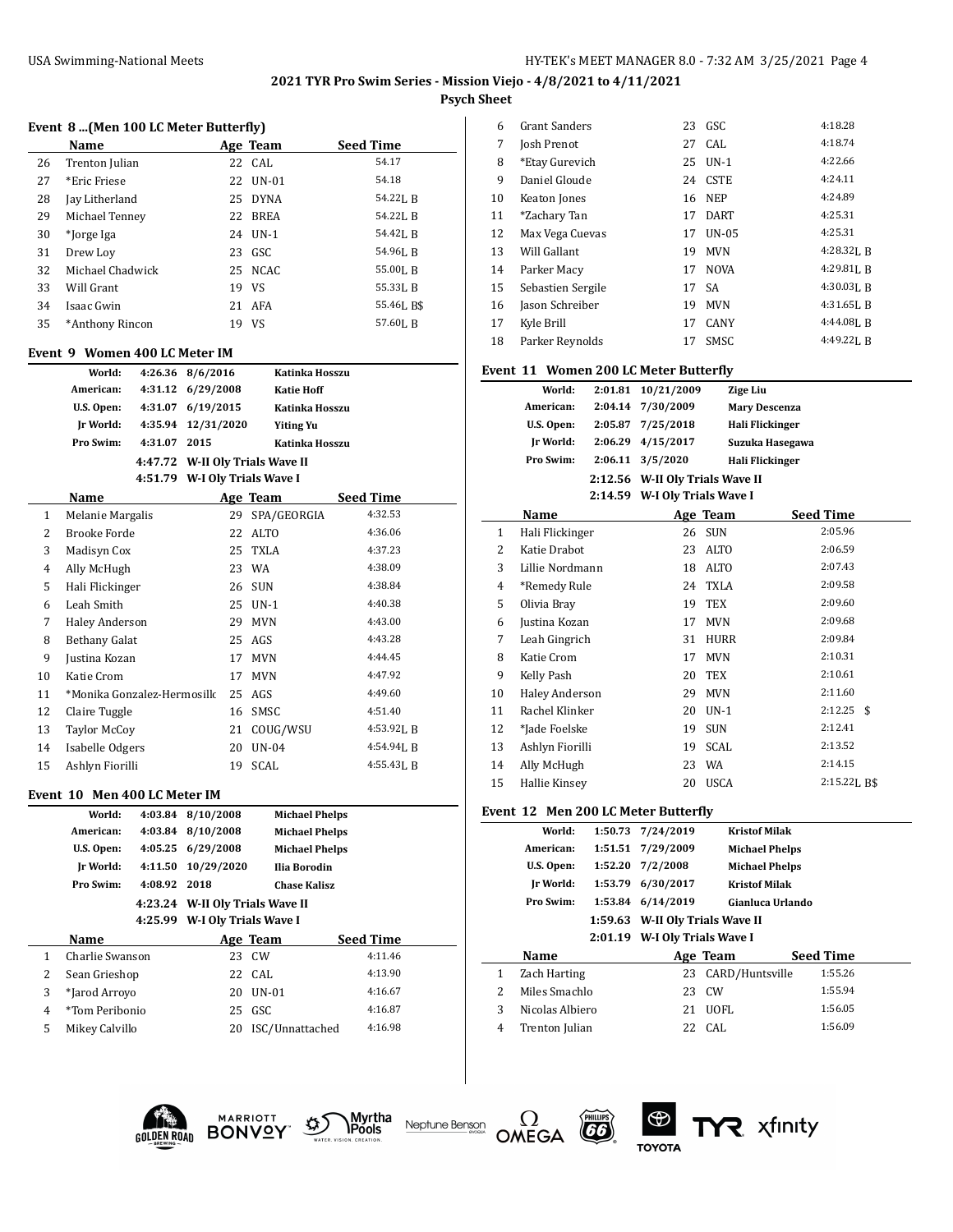### **Event 8 ...(Men 100 LC Meter Butterfly)**

|    | Name             |    | Age Team | <b>Seed Time</b> |
|----|------------------|----|----------|------------------|
| 26 | Trenton Julian   |    | 22 CAL   | 54.17            |
| 27 | *Eric Friese     |    | 22 UN-01 | 54.18            |
| 28 | Jay Litherland   |    | 25 DYNA  | 54.22L B         |
| 29 | Michael Tenney   |    | 22 BREA  | 54.22L B         |
| 30 | *Jorge Iga       |    | 24 UN-1  | 54.42L B         |
| 31 | Drew Loy         |    | 23 GSC   | 54.96J. R        |
| 32 | Michael Chadwick |    | 25 NCAC  | 55.00LB          |
| 33 | Will Grant       |    | 19 VS    | 55.33L B         |
| 34 | Isaac Gwin       |    | 21 AFA   | 55.46L B\$       |
| 35 | *Anthony Rincon  | 19 | VS       | 57.60L B         |

### **Event 9 Women 400 LC Meter IM**

|              | World:           | 4:26.36 | 8/6/2016                        | Katinka Hosszu    |                  |
|--------------|------------------|---------|---------------------------------|-------------------|------------------|
|              | American:        |         | 4:31.12 6/29/2008               | <b>Katie Hoff</b> |                  |
|              | U.S. Open:       | 4:31.07 | 6/19/2015                       | Katinka Hosszu    |                  |
|              | Ir World:        | 4:35.94 | 12/31/2020                      | <b>Yiting Yu</b>  |                  |
|              | Pro Swim:        | 4:31.07 | 2015                            | Katinka Hosszu    |                  |
|              |                  |         | 4:47.72 W-II Oly Trials Wave II |                   |                  |
|              |                  |         | 4:51.79 W-I Oly Trials Wave I   |                   |                  |
|              | Name             |         |                                 | Age Team          | <b>Seed Time</b> |
| $\mathbf{1}$ | Melanie Margalis |         | 29                              | SPA/GEORGIA       | 4:32.53          |
| 2            | Brooke Forde     |         |                                 | 22 ALTO           | 4:36.06          |
| 3            | Madisyn Cox      |         |                                 | 25 TXLA           | 4:37.23          |
| 4            | Ally McHugh      |         |                                 | 23 WA             | 4:38.09          |
| 5            | Hali Flickinger  |         | 26                              | <b>SUN</b>        | 4:38.84          |
| 6            | Leah Smith       |         | 25                              | $UN-1$            | 4:40.38          |
|              |                  |         |                                 |                   |                  |

| 4  | Ally McHugh                 |    | 23 WA       | 4:38.09        |
|----|-----------------------------|----|-------------|----------------|
| 5  | Hali Flickinger             | 26 | <b>SUN</b>  | 4:38.84        |
| 6  | Leah Smith                  | 25 | $UN-1$      | 4:40.38        |
| 7  | Haley Anderson              | 29 | <b>MVN</b>  | 4:43.00        |
| 8  | Bethany Galat               |    | 25 AGS      | 4:43.28        |
| 9  | Justina Kozan               | 17 | <b>MVN</b>  | 4:44.45        |
| 10 | Katie Crom                  | 17 | <b>MVN</b>  | 4:47.92        |
| 11 | *Monika Gonzalez-Hermosillo |    | 25 AGS      | 4:49.60        |
| 12 | Claire Tuggle               | 16 | <b>SMSC</b> | 4:51.40        |
| 13 | <b>Taylor McCoy</b>         |    | 21 COUG/WSU | 4:53.92LB      |
| 14 | Isabelle Odgers             | 20 | $UN-04$     | 4:54.941. R    |
| 15 | Ashlyn Fiorilli             | 19 | SCAL        | $4:55.43$ ], B |
|    |                             |    |             |                |

### **Event 10 Men 400 LC Meter IM**

|   | World:          |         | 4:03.84 8/10/2008               | <b>Michael Phelps</b> |                  |
|---|-----------------|---------|---------------------------------|-----------------------|------------------|
|   | American:       |         | 4:03.84 8/10/2008               | <b>Michael Phelps</b> |                  |
|   | U.S. Open:      |         | 4:05.25 6/29/2008               | <b>Michael Phelps</b> |                  |
|   | Ir World:       |         | 4:11.50 10/29/2020              | Ilia Borodin          |                  |
|   | Pro Swim:       | 4:08.92 | 2018                            | Chase Kalisz          |                  |
|   |                 |         | 4:23.24 W-II Oly Trials Wave II |                       |                  |
|   |                 |         | 4:25.99 W-I Oly Trials Wave I   |                       |                  |
|   | Name            |         |                                 | Age Team              | <b>Seed Time</b> |
| 1 | Charlie Swanson |         |                                 | 23 CW                 | 4:11.46          |
| 2 | Sean Grieshop   |         |                                 | 22 CAL                | 4:13.90          |
| 3 | *Jarod Arroyo   |         | 20                              | $UN-01$               | 4:16.67          |
| 4 | *Tom Peribonio  |         | 25                              | GSC                   | 4:16.87          |
| 5 | Mikey Calvillo  |         | 20                              | ISC/Unnattached       | 4:16.98          |
|   |                 |         |                                 |                       |                  |

| 6  | <b>Grant Sanders</b> |    | 23 GSC      | 4:18.28        |
|----|----------------------|----|-------------|----------------|
| 7  | Josh Prenot          |    | 27 CAL      | 4:18.74        |
| 8  | *Etay Gurevich       |    | 25 UN-1     | 4:22.66        |
| 9  | Daniel Gloude        |    | 24 CSTE     | 4:24.11        |
| 10 | Keaton Jones         | 16 | <b>NEP</b>  | 4:24.89        |
| 11 | *Zachary Tan         | 17 | <b>DART</b> | 4:25.31        |
| 12 | Max Vega Cuevas      | 17 | $UN-05$     | 4:25.31        |
| 13 | Will Gallant         | 19 | <b>MVN</b>  | $4:28.32$ , R  |
| 14 | Parker Macy          | 17 | <b>NOVA</b> | 4:29.81LB      |
| 15 | Sebastien Sergile    |    | 17 SA       | $4:30.03$ J. R |
| 16 | Jason Schreiber      | 19 | MVN         | $4:31.65$ , R  |
| 17 | Kyle Brill           | 17 | CANY        | 4:44.08LB      |
| 18 | Parker Reynolds      | 17 | <b>SMSC</b> | $4:49.22$ J, B |
|    |                      |    |             |                |

### **Event 11 Women 200 LC Meter Butterfly**

| World:     | 2:01.81 10/21/2009                             | <b>Zige Liu</b>                                            |
|------------|------------------------------------------------|------------------------------------------------------------|
| American:  | 2:04.14 7/30/2009                              | <b>Mary Descenza</b>                                       |
| U.S. Open: | 2:05.87 7/25/2018                              | Hali Flickinger                                            |
| Ir World:  | 2:06.29 4/15/2017                              | Suzuka Hasegawa                                            |
| Pro Swim:  | 2:06.11 3/5/2020                               | Hali Flickinger                                            |
|            | 2:12.56 W-II Oly Trials Wave II                |                                                            |
|            | 2:14.59 W-I Oly Trials Wave I                  |                                                            |
| $N = -22$  | $\mathbf{A}$ and $\mathbf{B}$ and $\mathbf{B}$ | $C_{\text{max}}$ and $T_{\text{max}}$ and $T_{\text{max}}$ |

|    | Name                  |    | Age Team    | <b>Seed Time</b> |
|----|-----------------------|----|-------------|------------------|
| 1  | Hali Flickinger       |    | 26 SUN      | 2:05.96          |
| 2  | Katie Drabot          | 23 | ALTO        | 2:06.59          |
| 3  | Lillie Nordmann       | 18 | ALTO        | 2:07.43          |
| 4  | *Remedy Rule          | 24 | TXLA        | 2:09.58          |
| 5  | Olivia Bray           | 19 | <b>TEX</b>  | 2:09.60          |
| 6  | Justina Kozan         | 17 | <b>MVN</b>  | 2:09.68          |
| 7  | Leah Gingrich         | 31 | HURR        | 2:09.84          |
| 8  | Katie Crom            | 17 | <b>MVN</b>  | 2:10.31          |
| 9  | Kelly Pash            | 20 | <b>TEX</b>  | 2:10.61          |
| 10 | <b>Haley Anderson</b> | 29 | <b>MVN</b>  | 2:11.60          |
| 11 | Rachel Klinker        | 20 | $UN-1$      | $2:12.25$ \$     |
| 12 | *Jade Foelske         | 19 | <b>SUN</b>  | 2:12.41          |
| 13 | Ashlyn Fiorilli       | 19 | SCAL        | 2:13.52          |
| 14 | Ally McHugh           | 23 | WA          | 2:14.15          |
| 15 | Hallie Kinsey         | 20 | <b>USCA</b> | 2:15.22L B\$     |

### **Event 12 Men 200 LC Meter Butterfly**

| World:       | 1:50.73 7/24/2019               | <b>Kristof Milak</b>  |                  |
|--------------|---------------------------------|-----------------------|------------------|
| American:    | 1:51.51 7/29/2009               | <b>Michael Phelps</b> |                  |
| U.S. Open:   | 1:52.20 7/2/2008                | <b>Michael Phelps</b> |                  |
| Ir World:    | 1:53.79 6/30/2017               | <b>Kristof Milak</b>  |                  |
| Pro Swim:    | 1:53.84 6/14/2019               | Gianluca Urlando      |                  |
|              | 1:59.63 W-II Oly Trials Wave II |                       |                  |
|              | 2:01.19 W-I Oly Trials Wave I   |                       |                  |
| Name         |                                 | Age Team              | <b>Seed Time</b> |
| Zach Harting |                                 | 23 CARD/Huntsville    | 1:55.26          |

| 1 Zach Harting    | 23 CARD/Huntsville | 1:55.26 |
|-------------------|--------------------|---------|
| 2 Miles Smachlo   | 23 CW              | 1:55.94 |
| 3 Nicolas Albiero | 21 UOFL            | 1:56.05 |
| 4 Trenton Julian  | 22 CAL             | 1:56.09 |







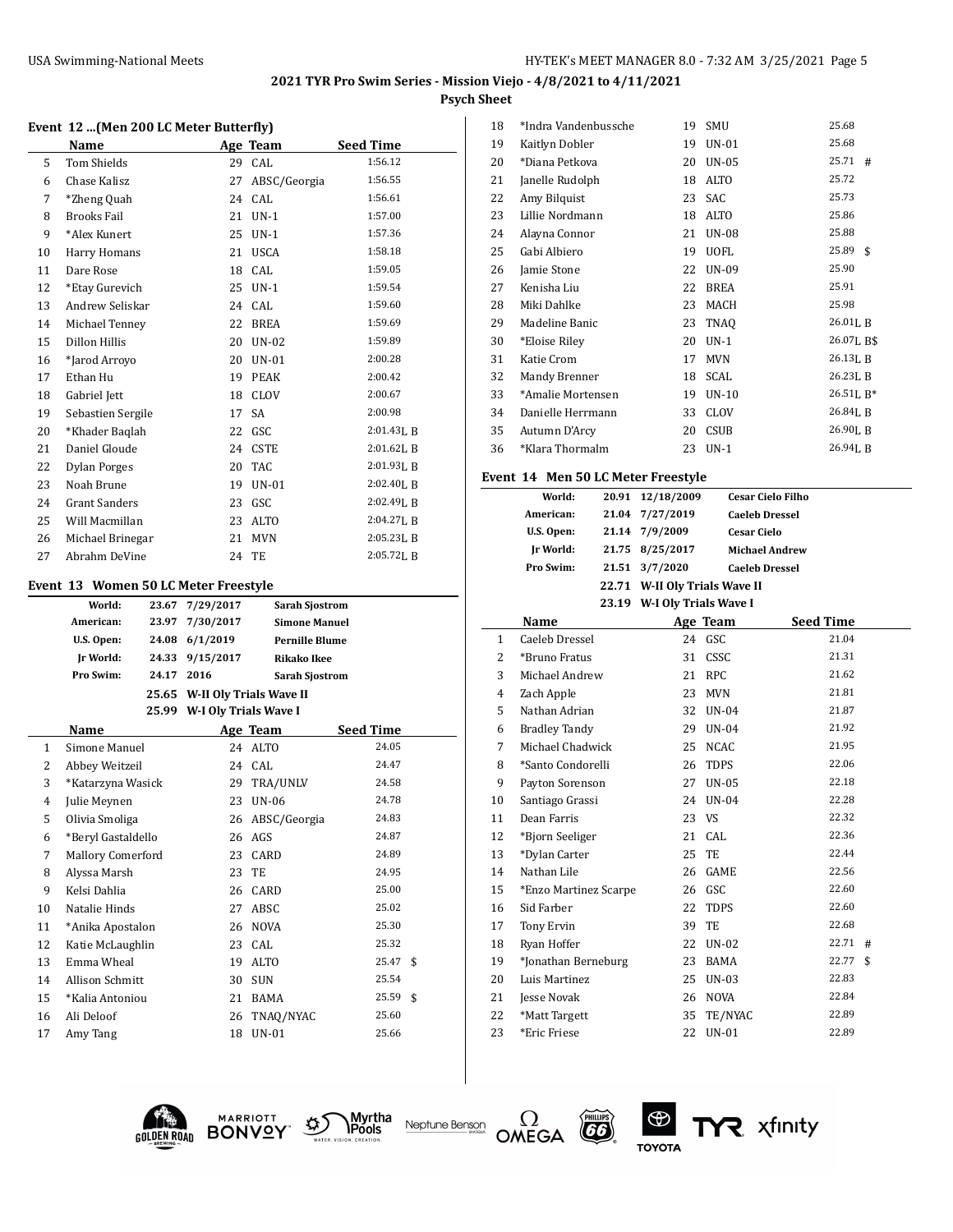## **Psych Sheet**

### **Event 12 ...(Men 200 LC Meter Butterfly)**

|    | <b>Name</b>          |    | Age Team     | <b>Seed Time</b> |
|----|----------------------|----|--------------|------------------|
| 5  | Tom Shields          | 29 | CAL          | 1:56.12          |
| 6  | Chase Kalisz         | 27 | ABSC/Georgia | 1:56.55          |
| 7  | *Zheng Quah          | 24 | CAL          | 1:56.61          |
| 8  | <b>Brooks Fail</b>   | 21 | $UN-1$       | 1:57.00          |
| 9  | *Alex Kunert         | 25 | $UN-1$       | 1:57.36          |
| 10 | Harry Homans         | 21 | <b>USCA</b>  | 1:58.18          |
| 11 | Dare Rose            | 18 | CAL          | 1:59.05          |
| 12 | *Etay Gurevich       | 25 | $UN-1$       | 1:59.54          |
| 13 | Andrew Seliskar      | 24 | CAL          | 1:59.60          |
| 14 | Michael Tenney       | 22 | <b>BREA</b>  | 1:59.69          |
| 15 | Dillon Hillis        | 20 | <b>UN-02</b> | 1:59.89          |
| 16 | *Jarod Arroyo        | 20 | $UN-01$      | 2:00.28          |
| 17 | Ethan Hu             | 19 | <b>PEAK</b>  | 2:00.42          |
| 18 | Gabriel Jett         | 18 | CLOV         | 2:00.67          |
| 19 | Sebastien Sergile    | 17 | SA           | 2:00.98          |
| 20 | *Khader Baqlah       | 22 | GSC          | $2:01.43$ . B    |
| 21 | Daniel Gloude        | 24 | <b>CSTE</b>  | $2:01.62$ , B    |
| 22 | Dylan Porges         | 20 | TAC          | 2:01.93L B       |
| 23 | Noah Brune           | 19 | $UN-01$      | $2:02.40$ . B    |
| 24 | <b>Grant Sanders</b> | 23 | GSC          | 2:02.49LB        |
| 25 | Will Macmillan       | 23 | <b>ALTO</b>  | $2:04.27$ J, B   |
| 26 | Michael Brinegar     | 21 | <b>MVN</b>   | $2:05.23$ J, B   |
| 27 | Abrahm DeVine        | 24 | TE           | 2:05.72LB        |
|    |                      |    |              |                  |

### **Event 13 Women 50 LC Meter Freestyle**

|              | World:                   | 23.67 | 7/29/2017                     | <b>Sarah Sjostrom</b> |                  |  |
|--------------|--------------------------|-------|-------------------------------|-----------------------|------------------|--|
|              | American:                | 23.97 | 7/30/2017                     | <b>Simone Manuel</b>  |                  |  |
|              | U.S. Open:               | 24.08 | 6/1/2019                      | <b>Pernille Blume</b> |                  |  |
|              | Ir World:                | 24.33 | 9/15/2017                     | <b>Rikako Ikee</b>    |                  |  |
|              | Pro Swim:                | 24.17 | 2016                          | Sarah Sjostrom        |                  |  |
|              |                          |       | 25.65 W-II Oly Trials Wave II |                       |                  |  |
|              |                          |       | 25.99 W-I Oly Trials Wave I   |                       |                  |  |
|              | Name                     |       |                               | Age Team              | <b>Seed Time</b> |  |
| $\mathbf{1}$ | Simone Manuel            |       |                               | 24 ALTO               | 24.05            |  |
| 2            | Abbey Weitzeil           |       | 24                            | CAL                   | 24.47            |  |
| 3            | *Katarzyna Wasick        |       | 29                            | TRA/UNLV              | 24.58            |  |
| 4            | Julie Meynen             |       | 23                            | <b>UN-06</b>          | 24.78            |  |
| 5            | Olivia Smoliga           |       | 26                            | ABSC/Georgia          | 24.83            |  |
| 6            | *Beryl Gastaldello       |       | 26                            | AGS                   | 24.87            |  |
| 7            | <b>Mallory Comerford</b> |       | 23                            | CARD                  | 24.89            |  |
| 8            | Alyssa Marsh             |       | 23                            | TE                    | 24.95            |  |
| 9            | Kelsi Dahlia             |       |                               | 26 CARD               | 25.00            |  |
| 10           | Natalie Hinds            |       | 27                            | ABSC                  | 25.02            |  |
| 11           | *Anika Apostalon         |       | 26                            | <b>NOVA</b>           | 25.30            |  |
| 12           | Katie McLaughlin         |       | 23                            | CAL                   | 25.32            |  |
| 13           | Emma Wheal               |       | 19                            | ALTO                  | $25.47$ \$       |  |
| 14           | Allison Schmitt          |       | 30                            | <b>SUN</b>            | 25.54            |  |
| 15           | *Kalia Antoniou          |       | 21                            | BAMA                  | $25.59$ \$       |  |
| 16           | Ali Deloof               |       | 26                            | TNAQ/NYAC             | 25.60            |  |
| 17           | Amy Tang                 |       | 18                            | <b>UN-01</b>          | 25.66            |  |

| 18 | *Indra Vandenbussche | 19 | <b>SMU</b>   | 25.68                     |    |
|----|----------------------|----|--------------|---------------------------|----|
| 19 | Kaitlyn Dobler       | 19 | $UN-01$      | 25.68                     |    |
| 20 | *Diana Petkova       | 20 | UN-05        | 25.71                     | #  |
| 21 | Janelle Rudolph      | 18 | ALTO         | 25.72                     |    |
| 22 | Amy Bilquist         | 23 | <b>SAC</b>   | 25.73                     |    |
| 23 | Lillie Nordmann      | 18 | ALTO         | 25.86                     |    |
| 24 | Alayna Connor        | 21 | <b>UN-08</b> | 25.88                     |    |
| 25 | Gabi Albiero         | 19 | <b>UOFL</b>  | 25.89                     | \$ |
| 26 | Jamie Stone          | 22 | UN-09        | 25.90                     |    |
| 27 | Kenisha Liu          | 22 | <b>BREA</b>  | 25.91                     |    |
| 28 | Miki Dahlke          | 23 | <b>MACH</b>  | 25.98                     |    |
| 29 | Madeline Banic       | 23 | TNAQ         | 26.01LB                   |    |
| 30 | *Eloise Riley        | 20 | $UN-1$       | 26.07L B\$                |    |
| 31 | Katie Crom           | 17 | <b>MVN</b>   | 26.13L B                  |    |
| 32 | Mandy Brenner        | 18 | SCAL         | 26.23L B                  |    |
| 33 | *Amalie Mortensen    | 19 | $UN-10$      | $26.51$ [, B <sup>*</sup> |    |
| 34 | Danielle Herrmann    | 33 | <b>CLOV</b>  | 26.84L B                  |    |
| 35 | Autumn D'Arcy        | 20 | <b>CSUB</b>  | 26.90L B                  |    |
| 36 | *Klara Thormalm      | 23 | $UN-1$       | 26.94L B                  |    |
|    |                      |    |              |                           |    |

### **Event 14 Men 50 LC Meter Freestyle**

| World:     | 20.91 12/18/2009              | <b>Cesar Cielo Filho</b> |
|------------|-------------------------------|--------------------------|
| American:  | 21.04 7/27/2019               | <b>Caeleb Dressel</b>    |
| U.S. Open: | 21.14 7/9/2009                | <b>Cesar Cielo</b>       |
| Ir World:  | 21.75 8/25/2017               | <b>Michael Andrew</b>    |
| Pro Swim:  | 21.51 3/7/2020                | <b>Caeleb Dressel</b>    |
|            | 22.71 W-II Oly Trials Wave II |                          |
|            | 23.19 W-I Oly Trials Wave I   |                          |

|              | Name                  |    | Age Team     | <b>Seed Time</b> |  |
|--------------|-----------------------|----|--------------|------------------|--|
| $\mathbf{1}$ | Caeleb Dressel        | 24 | GSC          | 21.04            |  |
| 2            | *Bruno Fratus         | 31 | CSSC         | 21.31            |  |
| 3            | Michael Andrew        | 21 | <b>RPC</b>   | 21.62            |  |
| 4            | Zach Apple            | 23 | <b>MVN</b>   | 21.81            |  |
| 5            | Nathan Adrian         | 32 | $UN-04$      | 21.87            |  |
| 6            | <b>Bradley Tandy</b>  | 29 | UN-04        | 21.92            |  |
| 7            | Michael Chadwick      | 25 | <b>NCAC</b>  | 21.95            |  |
| 8            | *Santo Condorelli     | 26 | <b>TDPS</b>  | 22.06            |  |
| 9            | Payton Sorenson       | 27 | <b>UN-05</b> | 22.18            |  |
| 10           | Santiago Grassi       | 24 | <b>UN-04</b> | 22.28            |  |
| 11           | Dean Farris           | 23 | VS           | 22.32            |  |
| 12           | *Bjorn Seeliger       | 21 | CAL          | 22.36            |  |
| 13           | *Dylan Carter         | 25 | TE           | 22.44            |  |
| 14           | Nathan Lile           | 26 | GAME         | 22.56            |  |
| 15           | *Enzo Martinez Scarpe | 26 | GSC          | 22.60            |  |
| 16           | Sid Farber            | 22 | <b>TDPS</b>  | 22.60            |  |
| 17           | Tony Ervin            | 39 | TE           | 22.68            |  |
| 18           | Ryan Hoffer           | 22 | $UN-02$      | 22.71<br>#       |  |
| 19           | *Jonathan Berneburg   | 23 | BAMA         | 22.77<br>-\$     |  |
| 20           | Luis Martinez         | 25 | UN-03        | 22.83            |  |
| 21           | Jesse Novak           | 26 | <b>NOVA</b>  | 22.84            |  |
| 22           | *Matt Targett         | 35 | TE/NYAC      | 22.89            |  |
| 23           | *Eric Friese          | 22 | $UN-01$      | 22.89            |  |
|              |                       |    |              |                  |  |







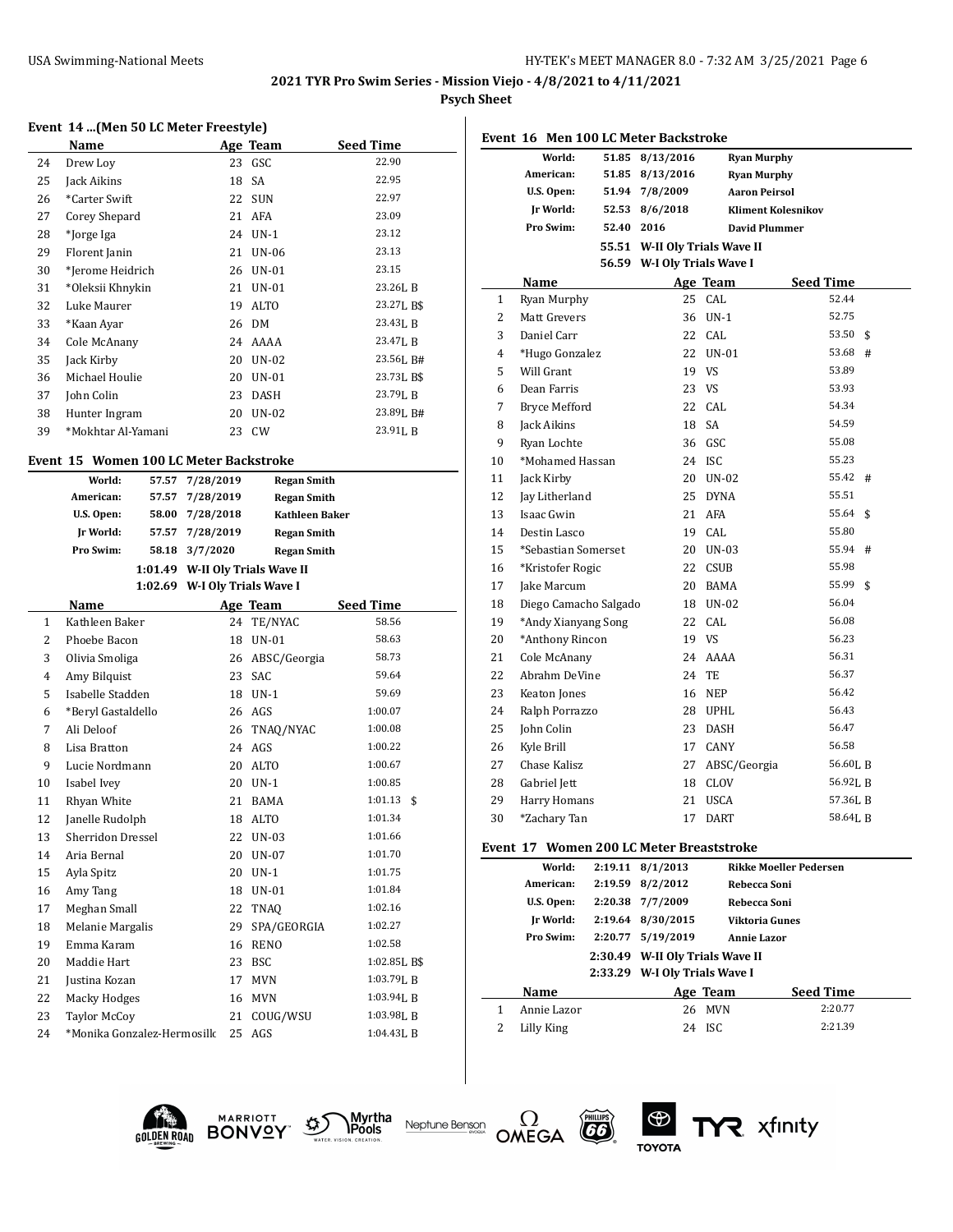### **Event 14 ...(Men 50 LC Meter Freestyle)**

|                | Event 14  (Men 30 LC Meter Preestyle)  |       |                                 |                       |                  |
|----------------|----------------------------------------|-------|---------------------------------|-----------------------|------------------|
|                | Name                                   |       |                                 | Age Team              | <b>Seed Time</b> |
| 24             | Drew Loy                               |       | 23                              | GSC                   | 22.90            |
| 25             | Jack Aikins                            |       | 18                              | SA                    | 22.95            |
| 26             | *Carter Swift                          |       | 22                              | <b>SUN</b>            | 22.97            |
| 27             | Corey Shepard                          |       |                                 | 21 AFA                | 23.09            |
| 28             | *Jorge Iga                             |       |                                 | 24 UN-1               | 23.12            |
| 29             | Florent Janin                          |       |                                 | 21 UN-06              | 23.13            |
| 30             | *Jerome Heidrich                       |       |                                 | 26 UN-01              | 23.15            |
| 31             | *Oleksii Khnykin                       |       | 21                              | UN-01                 | 23.26L B         |
| 32             | Luke Maurer                            |       |                                 | 19 ALTO               | 23.27L B\$       |
| 33             | *Kaan Ayar                             |       |                                 | 26 DM                 | 23.43L B         |
| 34             | Cole McAnany                           |       |                                 | 24 AAAA               | 23.47L B         |
| 35             | Jack Kirby                             |       |                                 | 20 UN-02              | 23.56L B#        |
| 36             | Michael Houlie                         |       |                                 | 20 UN-01              | 23.73L B\$       |
| 37             | John Colin                             |       |                                 | 23 DASH               | 23.79L B         |
| 38             | Hunter Ingram                          |       |                                 | 20 UN-02              | 23.89L B#        |
| 39             | *Mokhtar Al-Yamani                     |       |                                 | 23 CW                 | 23.91L B         |
|                |                                        |       |                                 |                       |                  |
|                | Event 15 Women 100 LC Meter Backstroke |       |                                 |                       |                  |
|                | World:                                 | 57.57 | 7/28/2019                       | <b>Regan Smith</b>    |                  |
|                | American:                              | 57.57 | 7/28/2019                       | <b>Regan Smith</b>    |                  |
|                | U.S. Open:                             | 58.00 | 7/28/2018                       | <b>Kathleen Baker</b> |                  |
|                | Jr World:                              | 57.57 | 7/28/2019                       | <b>Regan Smith</b>    |                  |
|                | Pro Swim:                              | 58.18 | 3/7/2020                        | <b>Regan Smith</b>    |                  |
|                |                                        |       | 1:01.49 W-II Oly Trials Wave II |                       |                  |
|                |                                        |       | 1:02.69 W-I Oly Trials Wave I   |                       |                  |
|                | Name                                   |       |                                 | Age Team              | Seed Time        |
| $\mathbf{1}$   | Kathleen Baker                         |       |                                 | 24 TE/NYAC            | 58.56            |
| $\overline{2}$ | Phoebe Bacon                           |       |                                 | 18 UN-01              | 58.63            |
| 3              | Olivia Smoliga                         |       |                                 | 26 ABSC/Georgia       | 58.73            |
| 4              | Amy Bilquist                           |       |                                 | 23 SAC                | 59.64            |
| 5              | Isabelle Stadden                       |       |                                 | 18 UN-1               | 59.69            |
| 6              | *Beryl Gastaldello                     |       |                                 | 26 AGS                | 1:00.07          |
| 7              | Ali Deloof                             |       |                                 | 26 TNAQ/NYAC          | 1:00.08          |
| 8              | Lisa Bratton                           |       |                                 | 24 AGS                | 1:00.22          |
| 9              | Lucie Nordmann                         |       |                                 |                       | 1:00.67          |
| 10             |                                        |       |                                 | 20 ALTO               |                  |
| 11             | Isabel Ivey                            |       |                                 | 20 UN-1               | 1:00.85          |
|                | Rhyan White                            |       |                                 | 21 BAMA               | 1:01.13<br>\$    |
| 12             | Janelle Rudolph                        |       | 18                              | ALTO                  | 1:01.34          |
| 13             | Sherridon Dressel                      |       | 22                              | UN-03                 | 1:01.66          |
| 14             | Aria Bernal                            |       | 20                              | UN-07                 | 1:01.70          |
| 15             | Ayla Spitz                             |       | 20                              | $UN-1$                | 1:01.75          |
| 16             | Amy Tang                               |       | 18                              | UN-01                 | 1:01.84          |
| 17             | Meghan Small                           |       | 22                              | TNAQ                  | 1:02.16          |
| 18             | Melanie Margalis                       |       | 29                              | SPA/GEORGIA           | 1:02.27          |
| 19             | Emma Karam                             |       | 16                              | RENO                  | 1:02.58          |
| 20             | Maddie Hart                            |       | 23                              | <b>BSC</b>            | 1:02.85LB\$      |
| 21             | Justina Kozan                          |       | 17                              | MVN                   | 1:03.79LB        |
| 22             | Macky Hodges                           |       | 16                              | MVN                   | 1:03.94LB        |
| 23             | <b>Taylor McCoy</b>                    |       | 21                              | COUG/WSU              | 1:03.98LB        |
| 24             | *Monika Gonzalez-Hermosillo            |       | 25                              | AGS                   | 1:04.43LB        |

|                | World:                |         | 51.85 8/13/2016                        |                    | <b>Ryan Murphy</b>            |
|----------------|-----------------------|---------|----------------------------------------|--------------------|-------------------------------|
|                | American:             |         | 51.85 8/13/2016                        |                    | <b>Ryan Murphy</b>            |
|                | U.S. Open:            |         | 51.94 7/8/2009                         |                    | <b>Aaron Peirsol</b>          |
|                | Ir World:             | 52.53   | 8/6/2018                               |                    | <b>Kliment Kolesnikov</b>     |
|                | Pro Swim:             | 52.40   | 2016                                   |                    | <b>David Plummer</b>          |
|                |                       |         | 55.51 W-II Oly Trials Wave II          |                    |                               |
|                |                       |         | 56.59 W-I Oly Trials Wave I            |                    |                               |
|                | Name                  |         |                                        | Age Team           | <b>Seed Time</b>              |
| $\mathbf{1}$   | Ryan Murphy           |         |                                        | 25 CAL             | 52.44                         |
| 2              | Matt Grevers          |         |                                        | 36 UN-1            | 52.75                         |
| 3              | Daniel Carr           |         |                                        | 22 CAL             | 53.50<br>\$                   |
| $\overline{4}$ | *Hugo Gonzalez        |         |                                        | 22 UN-01           | 53.68<br>#                    |
| 5              | Will Grant            |         |                                        | 19 VS              | 53.89                         |
| 6              | Dean Farris           |         |                                        | 23 VS              | 53.93                         |
| 7              | Bryce Mefford         |         |                                        | 22 CAL             | 54.34                         |
| 8              | Jack Aikins           |         |                                        | 18 SA              | 54.59                         |
| 9              | Ryan Lochte           |         |                                        | 36 GSC             | 55.08                         |
| 10             | *Mohamed Hassan       |         |                                        | 24 ISC             | 55.23                         |
| 11             | Jack Kirby            |         |                                        | 20 UN-02           | 55.42<br>#                    |
| 12             | Jay Litherland        |         | 25                                     | <b>DYNA</b>        | 55.51                         |
| 13             | Isaac Gwin            |         |                                        | 21 AFA             | 55.64<br>\$                   |
| 14             | Destin Lasco          |         |                                        | 19 CAL             | 55.80                         |
| 15             | *Sebastian Somerset   |         |                                        | 20 UN-03           | 55.94<br>#                    |
| 16             | *Kristofer Rogic      |         |                                        | 22 CSUB            | 55.98                         |
| 17             | Jake Marcum           |         |                                        | 20 BAMA            | 55.99<br>\$                   |
| 18             | Diego Camacho Salgado |         |                                        | 18 UN-02           | 56.04                         |
| 19             | *Andy Xianyang Song   |         |                                        | 22 CAL             | 56.08                         |
| 20             | *Anthony Rincon       |         |                                        | 19 VS              | 56.23                         |
| 21             | Cole McAnany          |         |                                        | 24 AAAA            | 56.31                         |
| 22             | Abrahm DeVine         |         |                                        | 24 TE              | 56.37                         |
| 23             | Keaton Jones          |         |                                        | 16 NEP             | 56.42                         |
| 24             | Ralph Porrazzo        |         |                                        | 28 UPHL            | 56.43                         |
| 25             | John Colin            |         |                                        | 23 DASH            | 56.47                         |
| 26             | Kyle Brill            |         |                                        | 17 CANY            | 56.58                         |
| 27             | Chase Kalisz          |         |                                        | 27 ABSC/Georgia    | 56.60LB                       |
| 28             | Gabriel Jett          |         |                                        | 18 CLOV            | 56.92L B                      |
| 29             | Harry Homans          |         | 21                                     | <b>USCA</b>        | 57.36L B                      |
| 30             | *Zachary Tan          |         | 17                                     | <b>DART</b>        | 58.64LB                       |
| Event 17       |                       |         | <b>Women 200 LC Meter Breaststroke</b> |                    |                               |
|                | World:                |         | 2:19.11 8/1/2013                       |                    | <b>Rikke Moeller Pedersen</b> |
|                | American:             |         | 2:19.59 8/2/2012                       |                    | Rebecca Soni                  |
|                | U.S. Open:            |         | 2:20.38 7/7/2009                       |                    | <b>Rebecca Soni</b>           |
|                | Jr World:             |         | 2:19.64 8/30/2015                      |                    | <b>Viktoria Gunes</b>         |
|                | Pro Swim:             | 2:20.77 | 5/19/2019                              | <b>Annie Lazor</b> |                               |

|   |             | 2:30.49 W-II Oly Trials Wave II |          |                  |
|---|-------------|---------------------------------|----------|------------------|
|   |             | 2:33.29 W-I Oly Trials Wave I   |          |                  |
|   | <b>Name</b> |                                 | Age Team | <b>Seed Time</b> |
|   | Annie Lazor |                                 | 26 MVN   | 2:20.77          |
| 2 | Lilly King  |                                 | 24 ISC   | 2:21.39          |





Myrtha<br>TPools Neptune Benson



 $\overline{a}$ 



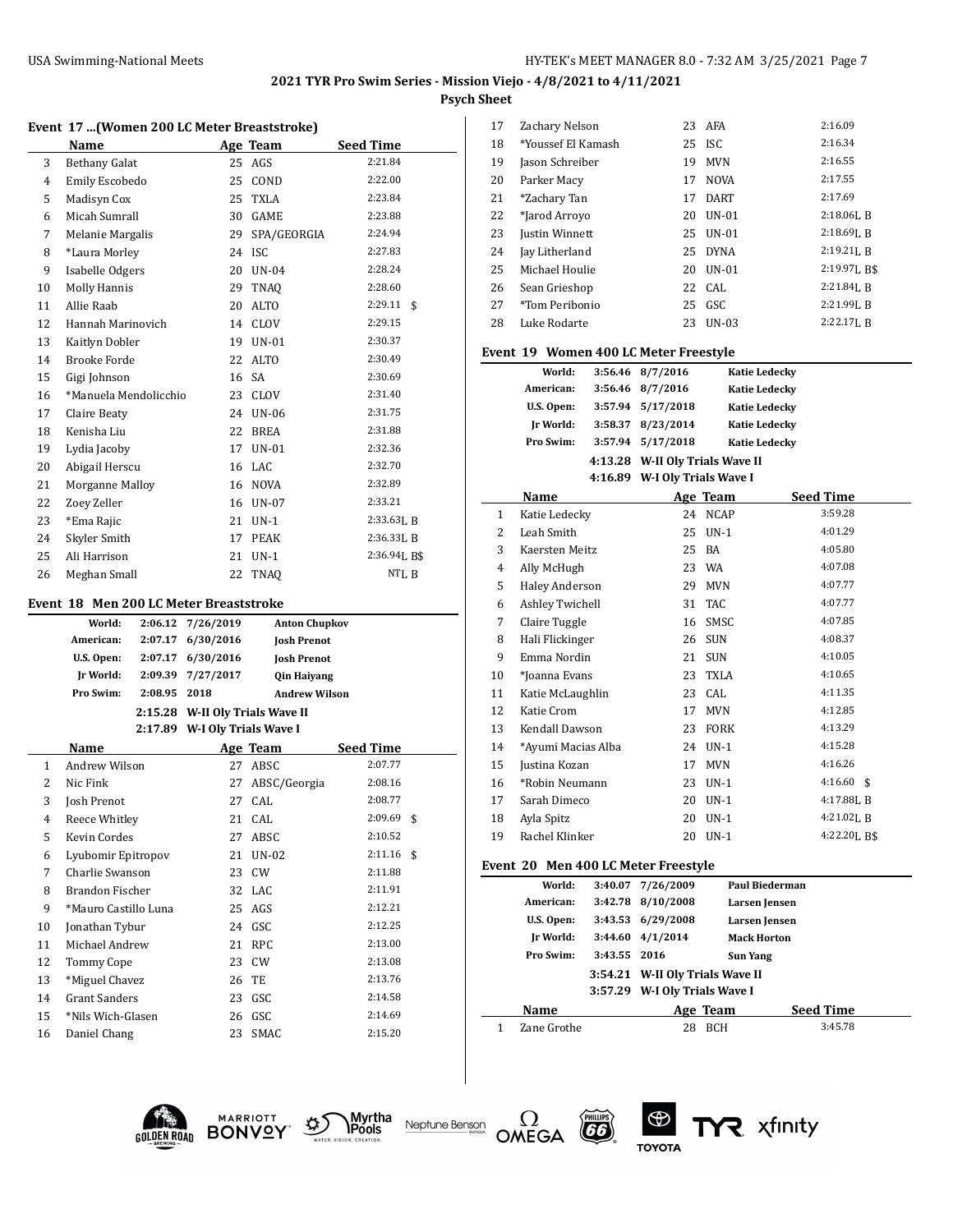**Psych Sheet**

### **Event 17 ...(Women 200 LC Meter Breaststroke)**

|    | Event 17 (Women 200 LC Meter Breaststroke) |         |                                 |                      |                  |
|----|--------------------------------------------|---------|---------------------------------|----------------------|------------------|
|    | Name                                       |         |                                 | Age Team             | <b>Seed Time</b> |
| 3  | <b>Bethany Galat</b>                       |         |                                 | 25 AGS               | 2:21.84          |
| 4  | Emily Escobedo                             |         |                                 | 25 COND              | 2:22.00          |
| 5  | Madisyn Cox                                |         | 25                              | TXLA                 | 2:23.84          |
| 6  | Micah Sumrall                              |         |                                 | 30 GAME              | 2:23.88          |
| 7  | Melanie Margalis                           |         | 29                              | SPA/GEORGIA          | 2:24.94          |
| 8  | *Laura Morley                              |         | 24                              | ISC                  | 2:27.83          |
| 9  | Isabelle Odgers                            |         | 20                              | <b>UN-04</b>         | 2:28.24          |
| 10 | <b>Molly Hannis</b>                        |         | 29                              | <b>TNAO</b>          | 2:28.60          |
| 11 | Allie Raab                                 |         | 20                              | ALTO                 | 2:29.11<br>\$    |
| 12 | Hannah Marinovich                          |         |                                 | 14 CLOV              | 2:29.15          |
| 13 | Kaitlyn Dobler                             |         |                                 | 19 UN-01             | 2:30.37          |
| 14 | Brooke Forde                               |         | 22                              | <b>ALTO</b>          | 2:30.49          |
| 15 | Gigi Johnson                               |         | 16                              | SA                   | 2:30.69          |
| 16 | *Manuela Mendolicchio                      |         |                                 | 23 CLOV              | 2:31.40          |
| 17 | Claire Beaty                               |         |                                 | 24 UN-06             | 2:31.75          |
| 18 | Kenisha Liu                                |         |                                 | 22 BREA              | 2:31.88          |
| 19 | Lydia Jacoby                               |         |                                 | 17 UN-01             | 2:32.36          |
| 20 | Abigail Herscu                             |         |                                 | 16 LAC               | 2:32.70          |
| 21 | Morganne Malloy                            |         |                                 | 16 NOVA              | 2:32.89          |
| 22 | Zoey Zeller                                |         |                                 | 16 UN-07             | 2:33.21          |
| 23 | *Ema Rajic                                 |         |                                 | 21 UN-1              | 2:33.63L B       |
| 24 | Skyler Smith                               |         |                                 | 17 PEAK              | 2:36.33L B       |
| 25 | Ali Harrison                               |         |                                 | 21 UN-1              | 2:36.94L B\$     |
| 26 | Meghan Small                               |         | 22                              | TNAQ                 | NTL B            |
|    |                                            |         |                                 |                      |                  |
|    | Event 18 Men 200 LC Meter Breaststroke     |         |                                 |                      |                  |
|    | World:                                     | 2:06.12 | 7/26/2019                       | <b>Anton Chupkov</b> |                  |
|    | American:                                  | 2:07.17 | 6/30/2016                       | <b>Josh Prenot</b>   |                  |
|    | U.S. Open:                                 |         | 2:07.17 6/30/2016               | <b>Josh Prenot</b>   |                  |
|    | Jr World:                                  | 2:09.39 | 7/27/2017                       | <b>Qin Haiyang</b>   |                  |
|    | Pro Swim:                                  | 2:08.95 | 2018                            | <b>Andrew Wilson</b> |                  |
|    |                                            |         | 2:15.28 W-II Oly Trials Wave II |                      |                  |
|    |                                            |         | 2:17.89 W-I Oly Trials Wave I   |                      |                  |
|    | Name                                       |         |                                 |                      | <b>Seed Time</b> |
| 1  |                                            |         |                                 | Age Team             |                  |
|    | <b>Andrew Wilson</b>                       |         | 27                              | ABSC                 | 2:07.77          |
| 2  | Nic Fink                                   |         | 27                              | ABSC/Georgia         | 2:08.16          |
| 3  | Josh Prenot                                |         | 27                              | CAL                  | 2:08.77          |
| 4  | Reece Whitley                              |         |                                 | 21 CAL               | 2:09.69<br>\$    |
| 5  | Kevin Cordes                               |         | 27                              | ABSC                 | 2:10.52          |
| 6  | Lyubomir Epitropov                         |         | 21                              | UN-02                | 2:11.16<br>\$    |
| 7  | Charlie Swanson                            |         | 23                              | CW                   | 2:11.88          |
| 8  | Brandon Fischer                            |         | 32                              | LAC                  | 2:11.91          |
| 9  | *Mauro Castillo Luna                       |         | 25                              | AGS                  | 2:12.21          |
| 10 | Jonathan Tybur                             |         | 24                              | GSC                  | 2:12.25          |
| 11 | Michael Andrew                             |         | 21                              | <b>RPC</b>           | 2:13.00          |
| 12 | Tommy Cope                                 |         | 23                              | CW                   | 2:13.08          |
| 13 | *Miguel Chavez                             |         | 26                              | TE                   | 2:13.76          |
| 14 | <b>Grant Sanders</b>                       |         | 23                              | GSC                  | 2:14.58          |
| 15 | *Nils Wich-Glasen                          |         | 26                              | GSC                  | 2:14.69          |

| 17 | Zachary Nelson     |    | 23 AFA      | 2:16.09        |
|----|--------------------|----|-------------|----------------|
| 18 | *Youssef El Kamash | 25 | ISC         | 2:16.34        |
| 19 | Jason Schreiber    | 19 | <b>MVN</b>  | 2:16.55        |
| 20 | Parker Macy        | 17 | <b>NOVA</b> | 2:17.55        |
| 21 | *Zachary Tan       | 17 | <b>DART</b> | 2:17.69        |
| 22 | *Jarod Arroyo      | 20 | $UN-01$     | $2:18.06$ , B  |
| 23 | Justin Winnett     | 25 | $UN-01$     | $2:18.69$ LR   |
| 24 | Jay Litherland     | 25 | <b>DYNA</b> | $2:19.21$ . R  |
| 25 | Michael Houlie     | 20 | $UN-01$     | 2:19.97LB\$    |
| 26 | Sean Grieshop      |    | 22 CAL      | $2:21.84$ I. R |
| 27 | *Tom Peribonio     | 25 | GSC         | 2:21.99J, R    |
| 28 | Luke Rodarte       | 23 | UN-03       | $2:22.17$ , B  |

### **Event 19 Women 400 LC Meter Freestyle**

| World:               | 3:56.46 8/7/2016                | <b>Katie Ledecky</b> |  |
|----------------------|---------------------------------|----------------------|--|
| American:            | 3:56.46 8/7/2016                | <b>Katie Ledecky</b> |  |
| U.S. Open:           | 3:57.94 5/17/2018               | <b>Katie Ledecky</b> |  |
| Ir World:            | 3:58.37 8/23/2014               | <b>Katie Ledecky</b> |  |
| Pro Swim:            | 3:57.94 5/17/2018               | <b>Katie Ledecky</b> |  |
|                      | 4:13.28 W-II Oly Trials Wave II |                      |  |
|                      | 4:16.89 W-I Oly Trials Wave I   |                      |  |
| $N_{\alpha m\alpha}$ | $A_{\alpha\alpha}$ Toom         | Cood Time            |  |

| Name         |                       | Age Team |             | <b>Seed Time</b>      |
|--------------|-----------------------|----------|-------------|-----------------------|
| $\mathbf{1}$ | Katie Ledecky         | 24       | <b>NCAP</b> | 3:59.28               |
| 2            | Leah Smith            | 25       | $UN-1$      | 4:01.29               |
| 3            | Kaersten Meitz        | 25       | BA          | 4:05.80               |
| 4            | Ally McHugh           | 23       | WA          | 4:07.08               |
| 5            | <b>Haley Anderson</b> | 29       | <b>MVN</b>  | 4:07.77               |
| 6            | Ashley Twichell       | 31       | TAC         | 4:07.77               |
| 7            | Claire Tuggle         | 16       | SMSC        | 4:07.85               |
| 8            | Hali Flickinger       | 26       | <b>SUN</b>  | 4:08.37               |
| 9            | Emma Nordin           | 21       | <b>SUN</b>  | 4:10.05               |
| 10           | *Joanna Evans         | 23       | <b>TXLA</b> | 4:10.65               |
| 11           | Katie McLaughlin      | 23       | CAL         | 4:11.35               |
| 12           | Katie Crom            | 17       | <b>MVN</b>  | 4:12.85               |
| 13           | Kendall Dawson        | 23       | <b>FORK</b> | 4:13.29               |
| 14           | *Ayumi Macias Alba    | 24       | $UN-1$      | 4:15.28               |
| 15           | Justina Kozan         | 17       | <b>MVN</b>  | 4:16.26               |
| 16           | *Robin Neumann        | 23       | $UN-1$      | 4:16.60 $\frac{1}{3}$ |
| 17           | Sarah Dimeco          | 20       | $UN-1$      | $4:17.88$ , B         |
| 18           | Ayla Spitz            | 20       | $UN-1$      | 4:21.02LB             |
| 19           | Rachel Klinker        | 20       | $UN-1$      | 4:22.20LB\$           |
|              |                       |          |             |                       |

### **Event 20 Men 400 LC Meter Freestyle**

|         |  |                                                                               | Paul Biederman                                                                                                |
|---------|--|-------------------------------------------------------------------------------|---------------------------------------------------------------------------------------------------------------|
| 3:42.78 |  |                                                                               | Larsen Jensen                                                                                                 |
| 3:43.53 |  |                                                                               | Larsen Jensen                                                                                                 |
| 3:44.60 |  |                                                                               | <b>Mack Horton</b>                                                                                            |
|         |  |                                                                               |                                                                                                               |
|         |  |                                                                               |                                                                                                               |
|         |  |                                                                               |                                                                                                               |
|         |  |                                                                               | <b>Seed Time</b>                                                                                              |
|         |  |                                                                               | 3:45.78                                                                                                       |
|         |  | 3:40.07 7/26/2009<br>8/10/2008<br>6/29/2008<br>4/1/2014<br>3:43.55 2016<br>28 | <b>Sun Yang</b><br>3:54.21 W-II Oly Trials Wave II<br>3:57.29 W-I Oly Trials Wave I<br>Age Team<br><b>BCH</b> |









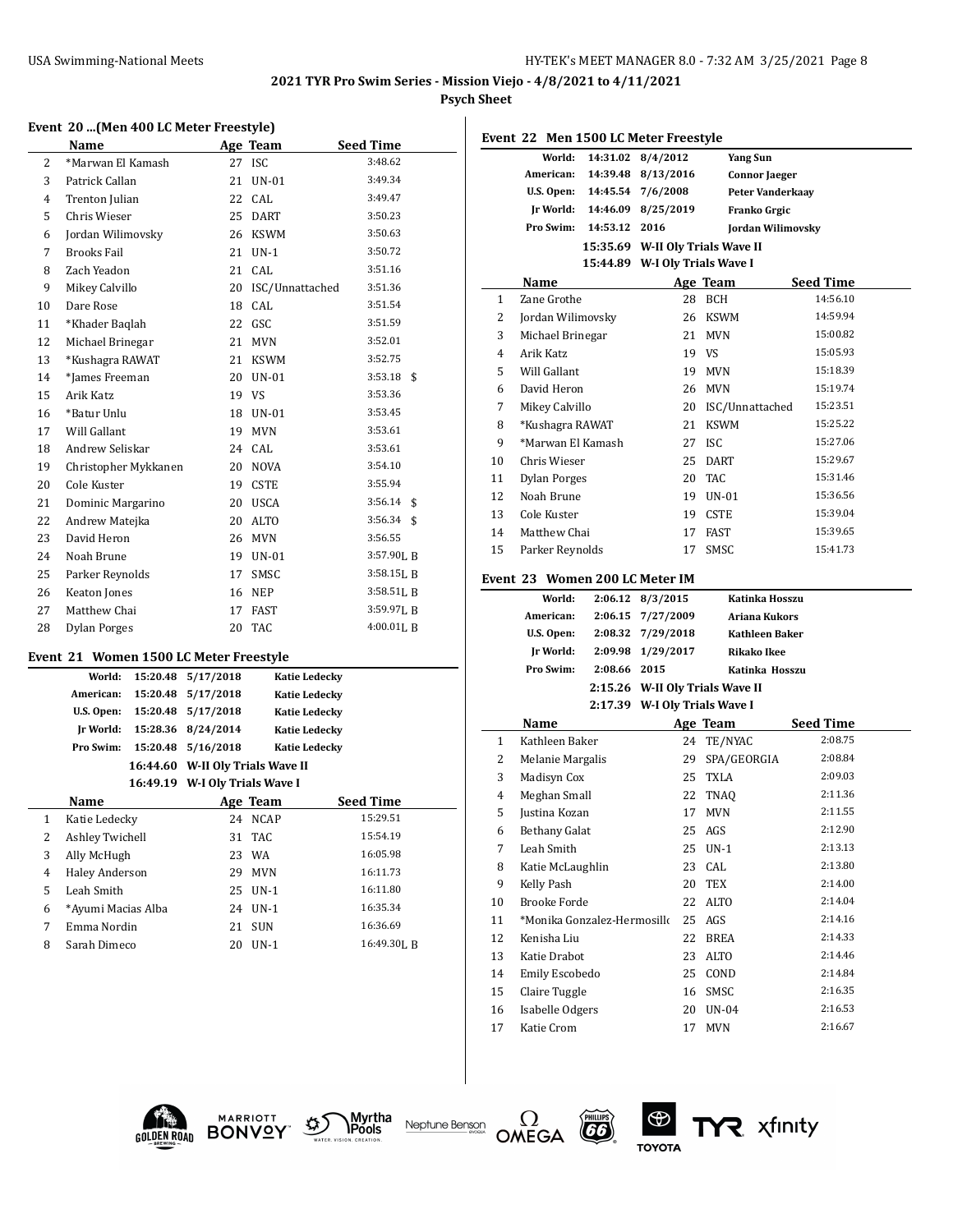$\overline{\phantom{0}}$ 

### **Event 20 ...(Men 400 LC Meter Freestyle)**

|    | Name                 |    | Age Team        | <b>Seed Time</b> |
|----|----------------------|----|-----------------|------------------|
| 2  | *Marwan El Kamash    | 27 | <b>ISC</b>      | 3:48.62          |
| 3  | Patrick Callan       | 21 | <b>UN-01</b>    | 3:49.34          |
| 4  | Trenton Julian       | 22 | CAL             | 3:49.47          |
| 5  | Chris Wieser         | 25 | <b>DART</b>     | 3:50.23          |
| 6  | Jordan Wilimovsky    | 26 | KSWM            | 3:50.63          |
| 7  | <b>Brooks Fail</b>   | 21 | $UN-1$          | 3:50.72          |
| 8  | Zach Yeadon          | 21 | CAL.            | 3:51.16          |
| 9  | Mikey Calvillo       | 20 | ISC/Unnattached | 3:51.36          |
| 10 | Dare Rose            | 18 | CAL             | 3:51.54          |
| 11 | *Khader Baqlah       | 22 | GSC             | 3:51.59          |
| 12 | Michael Brinegar     | 21 | <b>MVN</b>      | 3:52.01          |
| 13 | *Kushagra RAWAT      | 21 | <b>KSWM</b>     | 3:52.75          |
| 14 | *James Freeman       | 20 | $UN-01$         | 3:53.18<br>\$    |
| 15 | Arik Katz            |    | 19 VS           | 3:53.36          |
| 16 | *Batur Unlu          | 18 | $UN-01$         | 3:53.45          |
| 17 | Will Gallant         | 19 | <b>MVN</b>      | 3:53.61          |
| 18 | Andrew Seliskar      | 24 | CAL             | 3:53.61          |
| 19 | Christopher Mykkanen | 20 | <b>NOVA</b>     | 3:54.10          |
| 20 | Cole Kuster          | 19 | <b>CSTE</b>     | 3:55.94          |
| 21 | Dominic Margarino    | 20 | <b>USCA</b>     | $3:56.14$ \$     |
| 22 | Andrew Matejka       | 20 | <b>ALTO</b>     | 3:56.34<br>\$    |
| 23 | David Heron          | 26 | <b>MVN</b>      | 3:56.55          |
| 24 | Noah Brune           | 19 | $UN-01$         | 3:57.90LB        |
| 25 | Parker Reynolds      | 17 | <b>SMSC</b>     | $3:58.15$ , B    |
| 26 | Keaton Jones         | 16 | <b>NEP</b>      | $3:58.51$ [, B   |
| 27 | Matthew Chai         | 17 | <b>FAST</b>     | 3:59.97LB        |
| 28 | <b>Dylan Porges</b>  | 20 | <b>TAC</b>      | $4:00.01$ J, R   |

### **Event 21 Women 1500 LC Meter Freestyle**

|   | World:             | 15:20.48 5/17/2018               |             | <b>Katie Ledecky</b> |
|---|--------------------|----------------------------------|-------------|----------------------|
|   | American:          | 15:20.48 5/17/2018               |             | <b>Katie Ledecky</b> |
|   | U.S. Open:         | 15:20.48 5/17/2018               |             | Katie Ledecky        |
|   | Ir World:          | 15:28.36 8/24/2014               |             | <b>Katie Ledecky</b> |
|   | Pro Swim:          | 15:20.48 5/16/2018               |             | <b>Katie Ledecky</b> |
|   |                    | 16:44.60 W-II Oly Trials Wave II |             |                      |
|   |                    | 16:49.19 W-I Oly Trials Wave I   |             |                      |
|   | Name               |                                  | Age Team    | <b>Seed Time</b>     |
| 1 | Katie Ledecky      | 24                               | <b>NCAP</b> | 15:29.51             |
| 2 | Ashley Twichell    |                                  | 31 TAC      | 15:54.19             |
| 3 | Ally McHugh        |                                  | 23 WA       | 16:05.98             |
| 4 | Haley Anderson     | 29                               | <b>MVN</b>  | 16:11.73             |
| 5 | Leah Smith         |                                  | 25 UN-1     | 16:11.80             |
| 6 | *Ayumi Macias Alba |                                  | 24 UN-1     | 16:35.34             |
| 7 | Emma Nordin        | 21                               | <b>SUN</b>  | 16:36.69             |
| 8 | Sarah Dimeco       | 20                               | $UN-1$      | 16:49.30LB           |
|   |                    |                                  |             |                      |

|    | Event 22 Men 1500 LC Meter Freestyle |                  |                                  |                       |                  |
|----|--------------------------------------|------------------|----------------------------------|-----------------------|------------------|
|    | World:                               |                  | 14:31.02 8/4/2012                | <b>Yang Sun</b>       |                  |
|    | American:                            |                  | 14:39.48 8/13/2016               | <b>Connor Jaeger</b>  |                  |
|    | U.S. Open:                           |                  | 14:45.54 7/6/2008                | Peter Vanderkaay      |                  |
|    | Jr World:                            |                  | 14:46.09 8/25/2019               | Franko Grgic          |                  |
|    | Pro Swim:                            | 14:53.12 2016    |                                  | Jordan Wilimovsky     |                  |
|    |                                      |                  | 15:35.69 W-II Oly Trials Wave II |                       |                  |
|    |                                      |                  | 15:44.89 W-I Oly Trials Wave I   |                       |                  |
|    | Name                                 |                  |                                  | Age Team              | Seed Time        |
| 1  | Zane Grothe                          |                  | 28                               | BCH                   | 14:56.10         |
| 2  | Jordan Wilimovsky                    |                  | 26                               | KSWM                  | 14:59.94         |
| 3  | Michael Brinegar                     |                  | 21                               | <b>MVN</b>            | 15:00.82         |
| 4  | Arik Katz                            |                  | 19                               | VS                    | 15:05.93         |
| 5  | Will Gallant                         |                  | 19                               | <b>MVN</b>            | 15:18.39         |
| 6  | David Heron                          |                  | 26                               | MVN                   | 15:19.74         |
| 7  | Mikey Calvillo                       |                  | 20                               | ISC/Unnattached       | 15:23.51         |
| 8  | *Kushagra RAWAT                      |                  | 21                               | KSWM                  | 15:25.22         |
| 9  | *Marwan El Kamash                    |                  | 27                               | -ISC                  | 15:27.06         |
| 10 | Chris Wieser                         |                  | 25                               | DART                  | 15:29.67         |
| 11 | <b>Dylan Porges</b>                  |                  | 20                               | TAC                   | 15:31.46         |
| 12 | Noah Brune                           |                  | 19                               | UN-01                 | 15:36.56         |
| 13 | Cole Kuster                          |                  |                                  | 19 CSTE               | 15:39.04         |
| 14 | Matthew Chai                         |                  | 17                               | FAST                  | 15:39.65         |
| 15 | Parker Reynolds                      |                  | 17                               | SMSC                  | 15:41.73         |
|    |                                      |                  |                                  |                       |                  |
|    | Event 23 Women 200 LC Meter IM       |                  |                                  |                       |                  |
|    | World:                               | 2:06.12 8/3/2015 |                                  | Katinka Hosszu        |                  |
|    |                                      |                  |                                  |                       |                  |
|    | American:                            |                  | 2:06.15 7/27/2009                | Ariana Kukors         |                  |
|    | U.S. Open:                           |                  | 2:08.32 7/29/2018                | <b>Kathleen Baker</b> |                  |
|    | Ir World:                            |                  | 2:09.98 1/29/2017                | <b>Rikako Ikee</b>    |                  |
|    | Pro Swim:                            | 2:08.66 2015     |                                  | Katinka Hosszu        |                  |
|    |                                      |                  | 2:15.26 W-II Oly Trials Wave II  |                       |                  |
|    |                                      |                  | 2:17.39 W-I Oly Trials Wave I    |                       |                  |
|    | Name                                 |                  |                                  | Age Team              | <b>Seed Time</b> |
| 1  | Kathleen Baker                       |                  |                                  | 24 TE/NYAC            | 2:08.75          |
| 2  | Melanie Margalis                     |                  | 29                               | SPA/GEORGIA           | 2:08.84          |
| 3  | Madisyn Cox                          |                  | 25                               | <b>TXLA</b>           | 2:09.03          |
| 4  | Meghan Small                         |                  | 22                               | TNAQ                  | 2:11.36          |
| 5  | Justina Kozan                        |                  | 17                               | <b>MVN</b>            | 2:11.55          |
| 6  | <b>Bethany Galat</b>                 |                  | 25                               | AGS                   | 2:12.90          |
| 7  | Leah Smith                           |                  | 25                               | $UN-1$                | 2:13.13          |
| 8  | Katie McLaughlin                     |                  | 23                               | CAL                   | 2:13.80          |
| 9  | Kelly Pash                           |                  | 20                               | TEX                   | 2:14.00          |
| 10 | <b>Brooke Forde</b>                  |                  | 22                               | ALTO                  | 2:14.04          |
| 11 | *Monika Gonzalez-Hermosillo          |                  | 25                               | AGS                   | 2:14.16          |
| 12 | Kenisha Liu                          |                  | 22                               | BREA                  | 2:14.33          |
| 13 | Katie Drabot                         |                  | 23                               | ALTO                  | 2:14.46          |
| 14 | Emily Escobedo                       |                  | 25                               | COND                  | 2:14.84          |
| 15 | Claire Tuggle                        |                  | 16                               | SMSC                  | 2:16.35          |
| 16 | Isabelle Odgers                      |                  | 20                               | UN-04                 | 2:16.53          |
| 17 | Katie Crom                           |                  | 17                               | MVN                   | 2:16.67          |









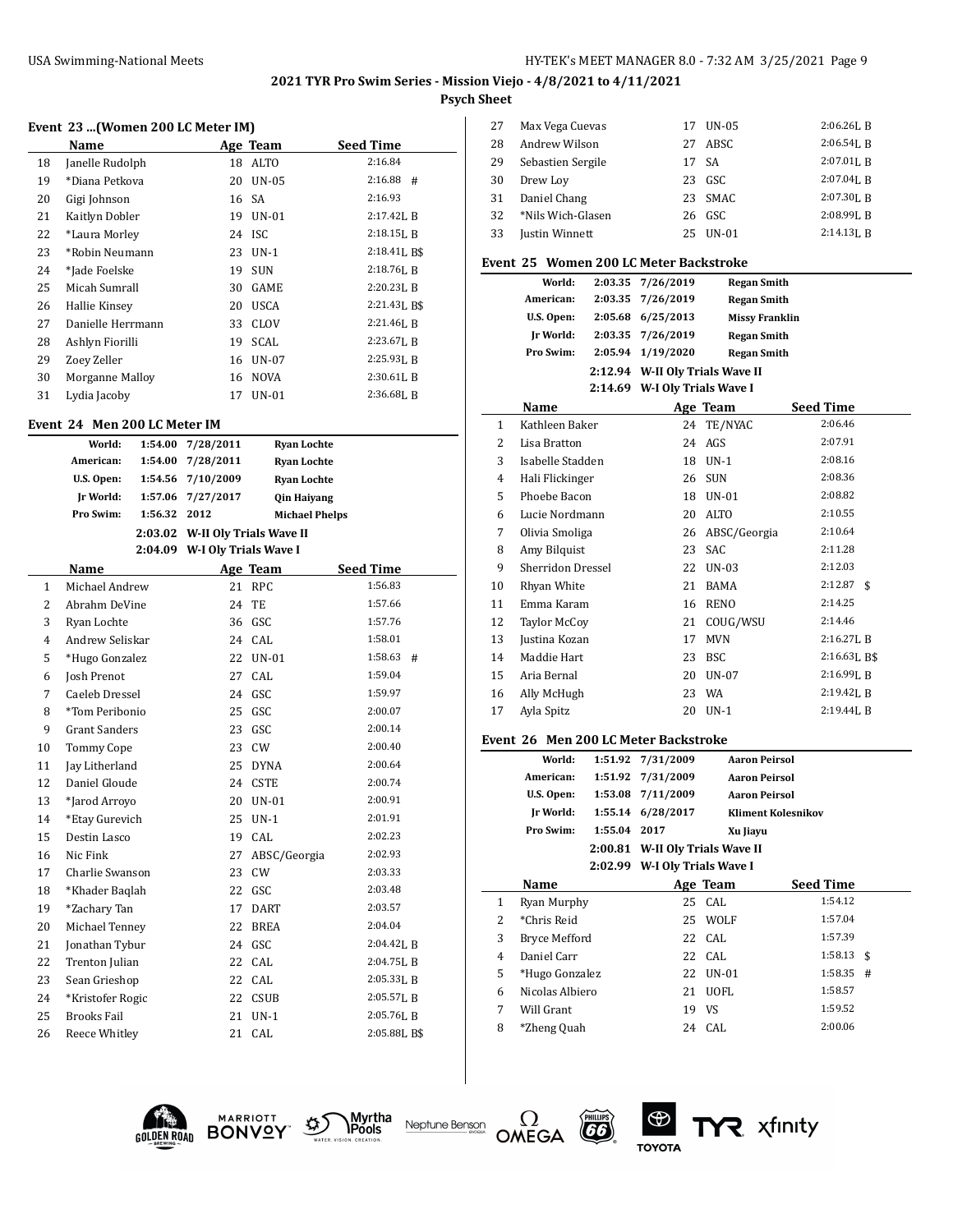### **Event 23 ...(Women 200 LC Meter IM)**

|    | Name              |    | Age Team    | <b>Seed Time</b> |
|----|-------------------|----|-------------|------------------|
| 18 | Janelle Rudolph   | 18 | ALTO        | 2:16.84          |
| 19 | *Diana Petkova    | 20 | $UN-05$     | 2:16.88<br>#     |
| 20 | Gigi Johnson      |    | 16 SA       | 2:16.93          |
| 21 | Kaitlyn Dobler    | 19 | $UN-01$     | $2:17.42$ , B    |
| 22 | *Laura Morley     | 24 | ISC         | $2:18.15$ , B    |
| 23 | *Robin Neumann    | 23 | $UN-1$      | $2:18.41$ J, B\$ |
| 24 | *Jade Foelske     | 19 | <b>SUN</b>  | $2:18.76$ , R    |
| 25 | Micah Sumrall     | 30 | GAME        | $2:20.23$ , B    |
| 26 | Hallie Kinsey     | 20 | <b>USCA</b> | $2:21.43$ , B\$  |
| 27 | Danielle Herrmann | 33 | <b>CLOV</b> | $2:21.46$ , R    |
| 28 | Ashlyn Fiorilli   | 19 | SCAL        | $2:23.67$ , B    |
| 29 | Zoey Zeller       | 16 | UN-07       | $2:25.93$ J, B   |
| 30 | Morganne Malloy   | 16 | <b>NOVA</b> | $2:30.61$ . R    |
| 31 | Lydia Jacoby      | 17 | $UN-01$     | 2:36.68LB        |

### **Event 24 Men 200 LC Meter IM**

|              | World:               | 1:54.00 | 7/28/2011             | <b>Ryan Lochte</b>      |                  |
|--------------|----------------------|---------|-----------------------|-------------------------|------------------|
|              | American:            | 1:54.00 | 7/28/2011             | <b>Ryan Lochte</b>      |                  |
|              | U.S. Open:           | 1:54.56 | 7/10/2009             | <b>Ryan Lochte</b>      |                  |
|              | Ir World:            | 1:57.06 | 7/27/2017             | Qin Haiyang             |                  |
|              | Pro Swim:            | 1:56.32 | 2012                  | <b>Michael Phelps</b>   |                  |
|              |                      | 2:03.02 |                       | W-II Oly Trials Wave II |                  |
|              |                      | 2:04.09 | W-I Oly Trials Wave I |                         |                  |
|              | Name                 |         |                       | Age Team                | <b>Seed Time</b> |
| $\mathbf{1}$ | Michael Andrew       |         | 21                    | <b>RPC</b>              | 1:56.83          |
| 2            | Abrahm DeVine        |         | 24                    | TE                      | 1:57.66          |
| 3            | Ryan Lochte          |         | 36                    | GSC                     | 1:57.76          |
| 4            | Andrew Seliskar      |         |                       | 24 CAL                  | 1:58.01          |
| 5            | *Hugo Gonzalez       |         | 22                    | $UN-01$                 | $1:58.63$ #      |
| 6            | Josh Prenot          |         | 27                    | CAL                     | 1:59.04          |
| 7            | Caeleb Dressel       |         | 24                    | GSC                     | 1:59.97          |
| 8            | *Tom Peribonio       |         | 25                    | GSC                     | 2:00.07          |
| 9            | <b>Grant Sanders</b> |         | 23                    | GSC                     | 2:00.14          |
| 10           | <b>Tommy Cope</b>    |         | 23                    | <b>CW</b>               | 2:00.40          |
| 11           | Jay Litherland       |         | 25                    | <b>DYNA</b>             | 2:00.64          |
| 12           | Daniel Gloude        |         | 24                    | <b>CSTE</b>             | 2:00.74          |
| 13           | *Jarod Arroyo        |         | 20                    | $UN-01$                 | 2:00.91          |
| 14           | *Etay Gurevich       |         | 25                    | $UN-1$                  | 2:01.91          |
| 15           | Destin Lasco         |         | 19                    | CAL                     | 2:02.23          |
| 16           | Nic Fink             |         | 27                    | ABSC/Georgia            | 2:02.93          |
| 17           | Charlie Swanson      |         | 23                    | <b>CW</b>               | 2:03.33          |
| 18           | *Khader Baqlah       |         | 22                    | GSC                     | 2:03.48          |
| 19           | *Zachary Tan         |         | 17                    | <b>DART</b>             | 2:03.57          |
| 20           | Michael Tenney       |         | 22                    | <b>BREA</b>             | 2:04.04          |
| 21           | Jonathan Tybur       |         | 24                    | GSC                     | $2:04.42$ , B    |
| 22           | Trenton Julian       |         | 22                    | CAL                     | $2:04.75$ , B    |
| 23           | Sean Grieshop        |         | 22                    | CAL                     | $2:05.33$ J, B   |
| 24           | *Kristofer Rogic     |         | 22                    | <b>CSUB</b>             | $2:05.57$ , B    |
| 25           | <b>Brooks Fail</b>   |         | 21                    | $UN-1$                  | 2:05.76LB        |
| 26           | Reece Whitley        |         | 21                    | CAL                     | 2:05.88L B\$     |
|              |                      |         |                       |                         |                  |

| Max Vega Cuevas   |    |      | $2:06.26$ . R                                       |
|-------------------|----|------|-----------------------------------------------------|
| Andrew Wilson     | 27 | ABSC | $2:06.54$ LR                                        |
| Sebastien Sergile | 17 | -SA  | $2:07.01$ , B                                       |
| Drew Loy          |    |      | $2:07.04$ L R                                       |
| Daniel Chang      |    |      | $2:07.30$ . R                                       |
| *Nils Wich-Glasen |    |      | 2:08.99LB                                           |
| Justin Winnett    |    |      | $2:14.13$ , R                                       |
|                   |    |      | 17 UN-05<br>23 GSC<br>23 SMAC<br>26 GSC<br>25 UN-01 |

### **Event 25 Women 200 LC Meter Backstroke**

| суені 25<br>WOMEN ZUU LU METER DACKSTIOKE |                                             |              |                                 |                           |                  |
|-------------------------------------------|---------------------------------------------|--------------|---------------------------------|---------------------------|------------------|
|                                           | World:                                      |              | 2:03.35 7/26/2019               | <b>Regan Smith</b>        |                  |
|                                           | American:                                   | 2:03.35      | 7/26/2019                       | <b>Regan Smith</b>        |                  |
|                                           | U.S. Open:                                  |              | 2:05.68 6/25/2013               | <b>Missy Franklin</b>     |                  |
|                                           | Jr World:                                   |              | 2:03.35 7/26/2019               | <b>Regan Smith</b>        |                  |
|                                           | Pro Swim:                                   |              | 2:05.94 1/19/2020               | <b>Regan Smith</b>        |                  |
|                                           |                                             |              | 2:12.94 W-II Oly Trials Wave II |                           |                  |
|                                           |                                             |              | 2:14.69 W-I Oly Trials Wave I   |                           |                  |
|                                           | Name                                        |              |                                 | Age Team                  | <b>Seed Time</b> |
| 1                                         | Kathleen Baker                              |              |                                 | 24 TE/NYAC                | 2:06.46          |
| $\overline{2}$                            | Lisa Bratton                                |              | 24                              | AGS                       | 2:07.91          |
| 3                                         | Isabelle Stadden                            |              |                                 | 18 UN-1                   | 2:08.16          |
| 4                                         | Hali Flickinger                             |              |                                 | 26 SUN                    | 2:08.36          |
| 5                                         | Phoebe Bacon                                |              |                                 | 18 UN-01                  | 2:08.82          |
| 6                                         | Lucie Nordmann                              |              |                                 | 20 ALTO                   | 2:10.55          |
| 7                                         | Olivia Smoliga                              |              |                                 | 26 ABSC/Georgia           | 2:10.64          |
| 8                                         | Amy Bilquist                                |              |                                 | 23 SAC                    | 2:11.28          |
| 9                                         | Sherridon Dressel                           |              |                                 | 22 UN-03                  | 2:12.03          |
| 10                                        | Rhyan White                                 |              |                                 | 21 BAMA                   | 2:12.87<br>\$    |
| 11                                        | Emma Karam                                  |              |                                 | <b>16 RENO</b>            | 2:14.25          |
| 12                                        | <b>Taylor McCoy</b>                         |              |                                 | 21 COUG/WSU               | 2:14.46          |
| 13                                        | Justina Kozan                               |              |                                 | 17 MVN                    | 2:16.27L B       |
| 14                                        | Maddie Hart                                 |              | 23                              | BSC                       | 2:16.63L B\$     |
| 15                                        | Aria Bernal                                 |              | 20                              | <b>UN-07</b>              | 2:16.99LB        |
| 16                                        | Ally McHugh                                 |              |                                 | 23 WA                     | $2:19.42$ J, B   |
| 17                                        | Ayla Spitz                                  |              |                                 | 20 UN-1                   | 2:19.44LB        |
|                                           |                                             |              |                                 |                           |                  |
|                                           | <b>Event 26 Men 200 LC Meter Backstroke</b> |              |                                 |                           |                  |
|                                           | World:                                      | 1:51.92      | 7/31/2009                       | <b>Aaron Peirsol</b>      |                  |
|                                           | American:                                   |              | 1:51.92 7/31/2009               | <b>Aaron Peirsol</b>      |                  |
|                                           | U.S. Open:                                  |              | 1:53.08 7/11/2009               | <b>Aaron Peirsol</b>      |                  |
|                                           | Ir World:                                   |              | 1:55.14 6/28/2017               | <b>Kliment Kolesnikov</b> |                  |
|                                           | Pro Swim:                                   | 1:55.04 2017 |                                 | Xu Jiayu                  |                  |
|                                           |                                             |              | 2:00.81 W-II Oly Trials Wave II |                           |                  |
|                                           |                                             |              | 2:02.99 W-I Oly Trials Wave I   |                           |                  |
|                                           | Name                                        |              |                                 | Age Team                  | <b>Seed Time</b> |
| 1                                         | Ryan Murphy                                 |              |                                 | 25 CAL                    | 1:54.12          |
| 2                                         | *Chris Reid                                 |              | 25                              | WOLF                      | 1:57.04          |
| 3                                         | Bryce Mefford                               |              |                                 | 22 CAL                    | 1:57.39          |
| 4                                         | Daniel Carr                                 |              |                                 | 22 CAL                    | 1:58.13<br>\$    |
| 5                                         | *Hugo Gonzalez                              |              |                                 | 22 UN-01                  | 1:58.35<br>#     |
| 6                                         | Nicolas Albiero                             |              | 21                              | <b>UOFL</b>               | 1:58.57          |
| 7                                         | Will Grant                                  |              | 19                              | VS                        | 1:59.52          |
| 8                                         | *Zheng Quah                                 |              |                                 | 24 CAL                    | 2:00.06          |
|                                           |                                             |              |                                 |                           |                  |





Myrtha<br>**\Pools** Neptune Benson





**R** xfinity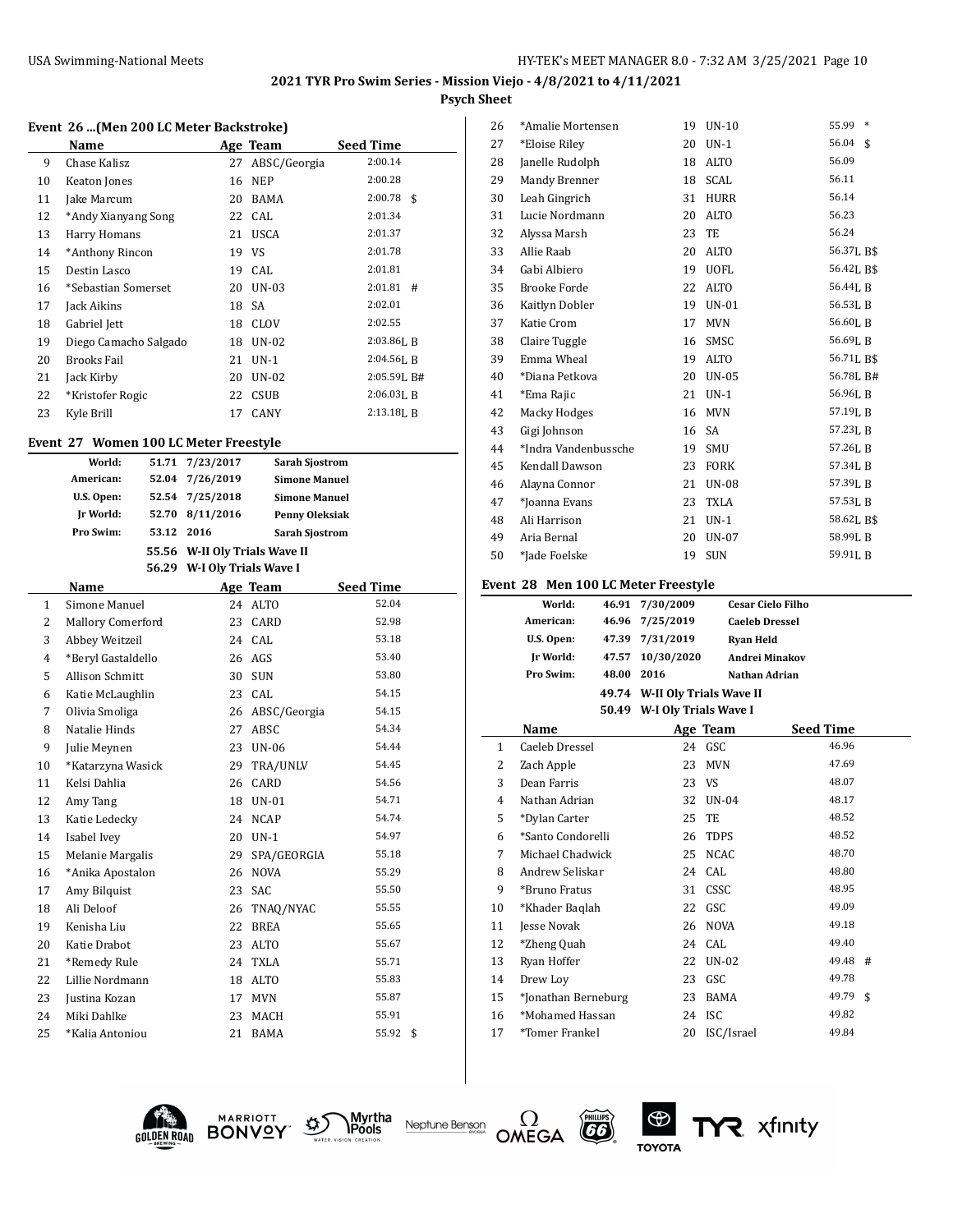$\overline{a}$ 

## **Psych Sheet**

### **Event 26 ...(Men 200 LC Meter Backstroke)**

|    | Name                  |    | Age Team     | <b>Seed Time</b> |
|----|-----------------------|----|--------------|------------------|
| 9  | Chase Kalisz          | 27 | ABSC/Georgia | 2:00.14          |
| 10 | Keaton Jones          | 16 | <b>NEP</b>   | 2:00.28          |
| 11 | Jake Marcum           | 20 | BAMA         | 2:00.78<br>\$    |
| 12 | *Andy Xianyang Song   |    | 22 CAL       | 2:01.34          |
| 13 | Harry Homans          | 21 | <b>USCA</b>  | 2:01.37          |
| 14 | *Anthony Rincon       | 19 | <b>VS</b>    | 2:01.78          |
| 15 | Destin Lasco          | 19 | CAL          | 2:01.81          |
| 16 | *Sebastian Somerset   | 20 | $UN-03$      | $2:01.81$ #      |
| 17 | Jack Aikins           | 18 | SA           | 2:02.01          |
| 18 | Gabriel Jett          | 18 | <b>CLOV</b>  | 2:02.55          |
| 19 | Diego Camacho Salgado | 18 | UN-02        | 2:03.86LB        |
| 20 | <b>Brooks Fail</b>    | 21 | $UN-1$       | $2:04.56$ , B    |
| 21 | Jack Kirby            | 20 | $UN-02$      | 2:05.59L B#      |
| 22 | *Kristofer Rogic      | 22 | <b>CSUB</b>  | $2:06.03$ , B    |
| 23 | Kyle Brill            | 17 | <b>CANY</b>  | $2:13.18$ , B    |

#### **Event 27 Women 100 LC Meter Freestyle**

|                | World:                   | 51.71 | 7/23/2017                     | <b>Sarah Sjostrom</b> |                  |
|----------------|--------------------------|-------|-------------------------------|-----------------------|------------------|
|                | American:                |       | 52.04 7/26/2019               | <b>Simone Manuel</b>  |                  |
|                | U.S. Open:               | 52.54 | 7/25/2018                     | <b>Simone Manuel</b>  |                  |
|                | Jr World:                | 52.70 | 8/11/2016                     | Penny Oleksiak        |                  |
|                | Pro Swim:                | 53.12 | 2016                          | <b>Sarah Sjostrom</b> |                  |
|                |                          |       | 55.56 W-II Oly Trials Wave II |                       |                  |
|                |                          |       | 56.29 W-I Oly Trials Wave I   |                       |                  |
|                | Name                     |       |                               | Age Team              | <b>Seed Time</b> |
| $\mathbf{1}$   | Simone Manuel            |       | 24                            | ALTO                  | 52.04            |
| 2              | <b>Mallory Comerford</b> |       | 23                            | CARD                  | 52.98            |
| 3              | Abbey Weitzeil           |       | 24                            | CAL                   | 53.18            |
| $\overline{4}$ | *Beryl Gastaldello       |       | 26                            | AGS                   | 53.40            |
| 5              | <b>Allison Schmitt</b>   |       | 30                            | <b>SUN</b>            | 53.80            |
| 6              | Katie McLaughlin         |       | 23                            | CAL                   | 54.15            |
| 7              | Olivia Smoliga           |       | 26                            | ABSC/Georgia          | 54.15            |
| 8              | Natalie Hinds            |       | 27                            | ABSC                  | 54.34            |
| 9              | Julie Meynen             |       | 23                            | <b>UN-06</b>          | 54.44            |
| 10             | *Katarzyna Wasick        |       | 29                            | TRA/UNLV              | 54.45            |
| 11             | Kelsi Dahlia             |       | 26                            | CARD                  | 54.56            |
| 12             | Amy Tang                 |       | 18                            | UN-01                 | 54.71            |
| 13             | Katie Ledecky            |       | 24                            | <b>NCAP</b>           | 54.74            |
| 14             | Isabel Ivey              |       | 20                            | $UN-1$                | 54.97            |
| 15             | Melanie Margalis         |       | 29                            | SPA/GEORGIA           | 55.18            |
| 16             | *Anika Apostalon         |       | 26                            | <b>NOVA</b>           | 55.29            |
| 17             | Amy Bilquist             |       | 23                            | SAC                   | 55.50            |
| 18             | Ali Deloof               |       | 26                            | TNAQ/NYAC             | 55.55            |
| 19             | Kenisha Liu              |       | 22                            | <b>BREA</b>           | 55.65            |
| 20             | Katie Drabot             |       | 23                            | <b>ALTO</b>           | 55.67            |
| 21             | *Remedy Rule             |       | 24                            | <b>TXLA</b>           | 55.71            |
| 22             | Lillie Nordmann          |       | 18                            | <b>ALTO</b>           | 55.83            |
| 23             | Justina Kozan            |       | 17                            | <b>MVN</b>            | 55.87            |
| 24             | Miki Dahlke              |       | 23                            | MACH                  | 55.91            |
| 25             | *Kalia Antoniou          |       | 21                            | BAMA                  | 55.92<br>\$      |
|                |                          |       |                               |                       |                  |

| 26 | *Amalie Mortensen    | 19 | $UN-10$      | 55.99<br>$\ast$ |
|----|----------------------|----|--------------|-----------------|
| 27 | *Eloise Riley        | 20 | $UN-1$       | 56.04<br>\$     |
| 28 | Janelle Rudolph      | 18 | ALTO         | 56.09           |
| 29 | Mandy Brenner        | 18 | SCAL         | 56.11           |
| 30 | Leah Gingrich        | 31 | <b>HURR</b>  | 56.14           |
| 31 | Lucie Nordmann       | 20 | <b>ALTO</b>  | 56.23           |
| 32 | Alyssa Marsh         | 23 | TE           | 56.24           |
| 33 | Allie Raab           | 20 | <b>ALTO</b>  | 56.37L B\$      |
| 34 | Gabi Albiero         | 19 | UOFL         | 56.42L B\$      |
| 35 | Brooke Forde         | 22 | ALTO         | 56.44L B        |
| 36 | Kaitlyn Dobler       | 19 | $UN-01$      | 56.53L B        |
| 37 | Katie Crom           | 17 | <b>MVN</b>   | 56.60LB         |
| 38 | Claire Tuggle        | 16 | SMSC         | 56.69L B        |
| 39 | Emma Wheal           | 19 | <b>ALTO</b>  | 56.71L B\$      |
| 40 | *Diana Petkova       | 20 | <b>UN-05</b> | 56.78L B#       |
| 41 | *Ema Rajic           | 21 | $UN-1$       | 56.96L B        |
| 42 | <b>Macky Hodges</b>  | 16 | <b>MVN</b>   | 57.19L B        |
| 43 | Gigi Johnson         | 16 | SA           | 57.23L B        |
| 44 | *Indra Vandenbussche | 19 | SMU          | 57.26L B        |
| 45 | Kendall Dawson       | 23 | <b>FORK</b>  | 57.34LB         |
| 46 | Alayna Connor        | 21 | <b>UN-08</b> | 57.39L B        |
| 47 | *Ioanna Evans        | 23 | <b>TXLA</b>  | 57.53LB         |
| 48 | Ali Harrison         | 21 | $UN-1$       | 58.62L B\$      |
| 49 | Aria Bernal          | 20 | $UN-07$      | 58.99L B        |
| 50 | *Jade Foelske        | 19 | <b>SUN</b>   | 59.91LB         |

### **Event 28 Men 100 LC Meter Freestyle**

| World:        |       | 7/30/2009                                                                                                                                                                 |                                                      |                                                                                                                                             |                                                                                                                 |
|---------------|-------|---------------------------------------------------------------------------------------------------------------------------------------------------------------------------|------------------------------------------------------|---------------------------------------------------------------------------------------------------------------------------------------------|-----------------------------------------------------------------------------------------------------------------|
| American:     |       |                                                                                                                                                                           |                                                      |                                                                                                                                             |                                                                                                                 |
| U.S. Open:    |       |                                                                                                                                                                           |                                                      |                                                                                                                                             |                                                                                                                 |
| Ir World:     |       |                                                                                                                                                                           |                                                      |                                                                                                                                             |                                                                                                                 |
| Pro Swim:     | 48.00 | 2016                                                                                                                                                                      |                                                      |                                                                                                                                             |                                                                                                                 |
|               |       |                                                                                                                                                                           |                                                      |                                                                                                                                             |                                                                                                                 |
|               |       |                                                                                                                                                                           |                                                      |                                                                                                                                             |                                                                                                                 |
| Name          |       |                                                                                                                                                                           |                                                      | <b>Seed Time</b>                                                                                                                            |                                                                                                                 |
|               |       |                                                                                                                                                                           |                                                      | 46.96                                                                                                                                       |                                                                                                                 |
| Zach Apple    |       | 23                                                                                                                                                                        | <b>MVN</b>                                           | 47.69                                                                                                                                       |                                                                                                                 |
| Dean Farris   |       | 23                                                                                                                                                                        | VS                                                   | 48.07                                                                                                                                       |                                                                                                                 |
|               |       | 32                                                                                                                                                                        | $UN-04$                                              | 48.17                                                                                                                                       |                                                                                                                 |
| *Dylan Carter |       | 25                                                                                                                                                                        | TE                                                   | 48.52                                                                                                                                       |                                                                                                                 |
|               |       | 26                                                                                                                                                                        | <b>TDPS</b>                                          | 48.52                                                                                                                                       |                                                                                                                 |
|               |       | 25                                                                                                                                                                        | <b>NCAC</b>                                          | 48.70                                                                                                                                       |                                                                                                                 |
|               |       |                                                                                                                                                                           |                                                      | 48.80                                                                                                                                       |                                                                                                                 |
| *Bruno Fratus |       |                                                                                                                                                                           | CSSC                                                 | 48.95                                                                                                                                       |                                                                                                                 |
|               |       | 22                                                                                                                                                                        |                                                      | 49.09                                                                                                                                       |                                                                                                                 |
| Jesse Novak   |       | 26                                                                                                                                                                        | <b>NOVA</b>                                          | 49.18                                                                                                                                       |                                                                                                                 |
| *Zheng Quah   |       |                                                                                                                                                                           |                                                      | 49.40                                                                                                                                       |                                                                                                                 |
| Ryan Hoffer   |       | 22                                                                                                                                                                        | $UN-02$                                              | 49.48 #                                                                                                                                     |                                                                                                                 |
| Drew Loy      |       | 23                                                                                                                                                                        | GSC                                                  | 49.78                                                                                                                                       |                                                                                                                 |
|               |       | 23                                                                                                                                                                        | BAMA                                                 | 49.79 \$                                                                                                                                    |                                                                                                                 |
|               |       |                                                                                                                                                                           |                                                      | 49.82                                                                                                                                       |                                                                                                                 |
|               |       | 20                                                                                                                                                                        | ISC/Israel                                           | 49.84                                                                                                                                       |                                                                                                                 |
|               |       | Caeleb Dressel<br>Nathan Adrian<br>*Santo Condorelli<br>Michael Chadwick<br>Andrew Seliskar<br>*Khader Baglah<br>*Jonathan Berneburg<br>*Mohamed Hassan<br>*Tomer Frankel | 46.91<br>46.96 7/25/2019<br>47.39 7/31/2019<br>47.57 | 10/30/2020<br>49.74 W-II Oly Trials Wave II<br>50.49 W-I Oly Trials Wave I<br>Age Team<br>24 GSC<br>24 CAL<br>31<br>GSC<br>24 CAL<br>24 ISC | <b>Cesar Cielo Filho</b><br><b>Caeleb Dressel</b><br><b>Ryan Held</b><br><b>Andrei Minakov</b><br>Nathan Adrian |